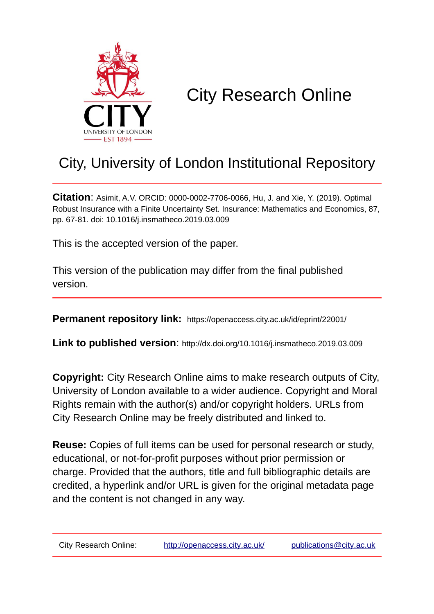

# City Research Online

# City, University of London Institutional Repository

**Citation**: Asimit, A.V. ORCID: 0000-0002-7706-0066, Hu, J. and Xie, Y. (2019). Optimal Robust Insurance with a Finite Uncertainty Set. Insurance: Mathematics and Economics, 87, pp. 67-81. doi: 10.1016/j.insmatheco.2019.03.009

This is the accepted version of the paper.

This version of the publication may differ from the final published version.

**Permanent repository link:** https://openaccess.city.ac.uk/id/eprint/22001/

**Link to published version**: http://dx.doi.org/10.1016/j.insmatheco.2019.03.009

**Copyright:** City Research Online aims to make research outputs of City, University of London available to a wider audience. Copyright and Moral Rights remain with the author(s) and/or copyright holders. URLs from City Research Online may be freely distributed and linked to.

**Reuse:** Copies of full items can be used for personal research or study, educational, or not-for-profit purposes without prior permission or charge. Provided that the authors, title and full bibliographic details are credited, a hyperlink and/or URL is given for the original metadata page and the content is not changed in any way.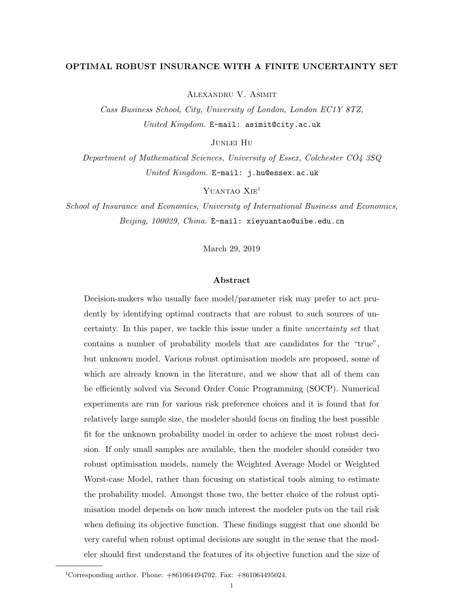# OPTIMAL ROBUST INSURANCE WITH A FINITE UNCERTAINTY SET

Alexandru V. Asimit

Cass Business School, City, University of London, London EC1Y 8TZ, United Kingdom. E-mail: asimit@city.ac.uk

Junlei Hu

Department of Mathematical Sciences, University of Essex, Colchester CO4 3SQ United Kingdom. E-mail: j.hu@essex.ac.uk

YUANTAO XIE<sup>1</sup>

School of Insurance and Economics, University of International Business and Economics, Beijing, 100029, China. E-mail: xieyuantao@uibe.edu.cn

March 29, 2019

#### Abstract

Decision-makers who usually face model/parameter risk may prefer to act prudently by identifying optimal contracts that are robust to such sources of uncertainty. In this paper, we tackle this issue under a finite uncertainty set that contains a number of probability models that are candidates for the "true", but unknown model. Various robust optimisation models are proposed, some of which are already known in the literature, and we show that all of them can be efficiently solved via Second Order Conic Programming (SOCP). Numerical experiments are run for various risk preference choices and it is found that for relatively large sample size, the modeler should focus on finding the best possible fit for the unknown probability model in order to achieve the most robust decision. If only small samples are available, then the modeler should consider two robust optimisation models, namely the Weighted Average Model or Weighted Worst-case Model, rather than focusing on statistical tools aiming to estimate the probability model. Amongst those two, the better choice of the robust optimisation model depends on how much interest the modeler puts on the tail risk when defining its objective function. These findings suggest that one should be very careful when robust optimal decisions are sought in the sense that the modeler should first understand the features of its objective function and the size of

<sup>&</sup>lt;sup>1</sup>Corresponding author. Phone:  $+861064494702$ . Fax:  $+861064495024$ .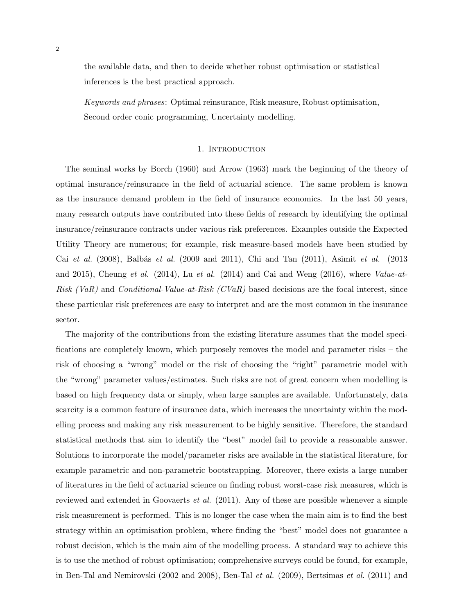the available data, and then to decide whether robust optimisation or statistical inferences is the best practical approach.

Keywords and phrases: Optimal reinsurance, Risk measure, Robust optimisation, Second order conic programming, Uncertainty modelling.

#### 1. Introduction

The seminal works by Borch (1960) and Arrow (1963) mark the beginning of the theory of optimal insurance/reinsurance in the field of actuarial science. The same problem is known as the insurance demand problem in the field of insurance economics. In the last 50 years, many research outputs have contributed into these fields of research by identifying the optimal insurance/reinsurance contracts under various risk preferences. Examples outside the Expected Utility Theory are numerous; for example, risk measure-based models have been studied by Cai et al. (2008), Balb´as et al. (2009 and 2011), Chi and Tan (2011), Asimit et al. (2013 and 2015), Cheung et al.  $(2014)$ , Lu et al.  $(2014)$  and Cai and Weng  $(2016)$ , where Value-at-Risk (VaR) and Conditional-Value-at-Risk (CVaR) based decisions are the focal interest, since these particular risk preferences are easy to interpret and are the most common in the insurance sector.

The majority of the contributions from the existing literature assumes that the model specifications are completely known, which purposely removes the model and parameter risks – the risk of choosing a "wrong" model or the risk of choosing the "right" parametric model with the "wrong" parameter values/estimates. Such risks are not of great concern when modelling is based on high frequency data or simply, when large samples are available. Unfortunately, data scarcity is a common feature of insurance data, which increases the uncertainty within the modelling process and making any risk measurement to be highly sensitive. Therefore, the standard statistical methods that aim to identify the "best" model fail to provide a reasonable answer. Solutions to incorporate the model/parameter risks are available in the statistical literature, for example parametric and non-parametric bootstrapping. Moreover, there exists a large number of literatures in the field of actuarial science on finding robust worst-case risk measures, which is reviewed and extended in Goovaerts et al. (2011). Any of these are possible whenever a simple risk measurement is performed. This is no longer the case when the main aim is to find the best strategy within an optimisation problem, where finding the "best" model does not guarantee a robust decision, which is the main aim of the modelling process. A standard way to achieve this is to use the method of robust optimisation; comprehensive surveys could be found, for example, in Ben-Tal and Nemirovski (2002 and 2008), Ben-Tal et al. (2009), Bertsimas et al. (2011) and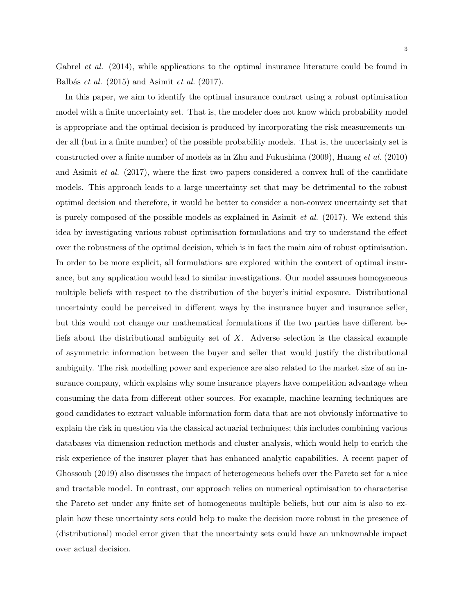Gabrel *et al.* (2014), while applications to the optimal insurance literature could be found in Balbás et al.  $(2015)$  and Asimit et al.  $(2017)$ .

In this paper, we aim to identify the optimal insurance contract using a robust optimisation model with a finite uncertainty set. That is, the modeler does not know which probability model is appropriate and the optimal decision is produced by incorporating the risk measurements under all (but in a finite number) of the possible probability models. That is, the uncertainty set is constructed over a finite number of models as in Zhu and Fukushima (2009), Huang et al. (2010) and Asimit *et al.* (2017), where the first two papers considered a convex hull of the candidate models. This approach leads to a large uncertainty set that may be detrimental to the robust optimal decision and therefore, it would be better to consider a non-convex uncertainty set that is purely composed of the possible models as explained in Asimit  $et al.$  (2017). We extend this idea by investigating various robust optimisation formulations and try to understand the effect over the robustness of the optimal decision, which is in fact the main aim of robust optimisation. In order to be more explicit, all formulations are explored within the context of optimal insurance, but any application would lead to similar investigations. Our model assumes homogeneous multiple beliefs with respect to the distribution of the buyer's initial exposure. Distributional uncertainty could be perceived in different ways by the insurance buyer and insurance seller, but this would not change our mathematical formulations if the two parties have different beliefs about the distributional ambiguity set of X. Adverse selection is the classical example of asymmetric information between the buyer and seller that would justify the distributional ambiguity. The risk modelling power and experience are also related to the market size of an insurance company, which explains why some insurance players have competition advantage when consuming the data from different other sources. For example, machine learning techniques are good candidates to extract valuable information form data that are not obviously informative to explain the risk in question via the classical actuarial techniques; this includes combining various databases via dimension reduction methods and cluster analysis, which would help to enrich the risk experience of the insurer player that has enhanced analytic capabilities. A recent paper of Ghossoub (2019) also discusses the impact of heterogeneous beliefs over the Pareto set for a nice and tractable model. In contrast, our approach relies on numerical optimisation to characterise the Pareto set under any finite set of homogeneous multiple beliefs, but our aim is also to explain how these uncertainty sets could help to make the decision more robust in the presence of (distributional) model error given that the uncertainty sets could have an unknownable impact over actual decision.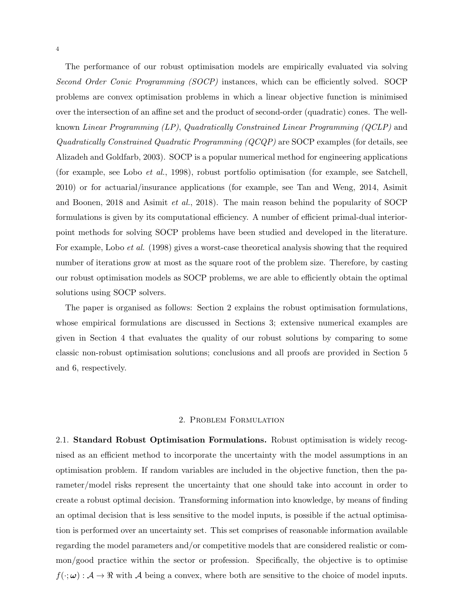The performance of our robust optimisation models are empirically evaluated via solving Second Order Conic Programming (SOCP) instances, which can be efficiently solved. SOCP problems are convex optimisation problems in which a linear objective function is minimised over the intersection of an affine set and the product of second-order (quadratic) cones. The wellknown Linear Programming (LP), Quadratically Constrained Linear Programming (QCLP) and Quadratically Constrained Quadratic Programming (QCQP) are SOCP examples (for details, see Alizadeh and Goldfarb, 2003). SOCP is a popular numerical method for engineering applications (for example, see Lobo et al., 1998), robust portfolio optimisation (for example, see Satchell, 2010) or for actuarial/insurance applications (for example, see Tan and Weng, 2014, Asimit and Boonen, 2018 and Asimit et al., 2018). The main reason behind the popularity of SOCP formulations is given by its computational efficiency. A number of efficient primal-dual interiorpoint methods for solving SOCP problems have been studied and developed in the literature. For example, Lobo et al. (1998) gives a worst-case theoretical analysis showing that the required number of iterations grow at most as the square root of the problem size. Therefore, by casting our robust optimisation models as SOCP problems, we are able to efficiently obtain the optimal solutions using SOCP solvers.

The paper is organised as follows: Section 2 explains the robust optimisation formulations, whose empirical formulations are discussed in Sections 3; extensive numerical examples are given in Section 4 that evaluates the quality of our robust solutions by comparing to some classic non-robust optimisation solutions; conclusions and all proofs are provided in Section 5 and 6, respectively.

#### 2. Problem Formulation

2.1. Standard Robust Optimisation Formulations. Robust optimisation is widely recognised as an efficient method to incorporate the uncertainty with the model assumptions in an optimisation problem. If random variables are included in the objective function, then the parameter/model risks represent the uncertainty that one should take into account in order to create a robust optimal decision. Transforming information into knowledge, by means of finding an optimal decision that is less sensitive to the model inputs, is possible if the actual optimisation is performed over an uncertainty set. This set comprises of reasonable information available regarding the model parameters and/or competitive models that are considered realistic or common/good practice within the sector or profession. Specifically, the objective is to optimise  $f(\cdot;\omega): \mathcal{A} \to \mathbb{R}$  with A being a convex, where both are sensitive to the choice of model inputs.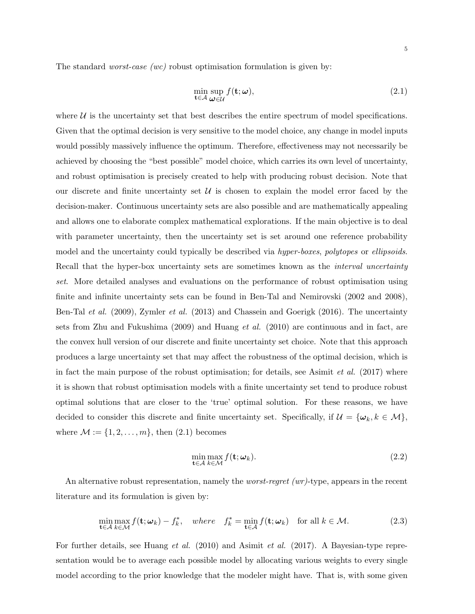The standard *worst-case* (wc) robust optimisation formulation is given by:

$$
\min_{\mathbf{t}\in\mathcal{A}}\sup_{\boldsymbol{\omega}\in\mathcal{U}}f(\mathbf{t};\boldsymbol{\omega}),\tag{2.1}
$$

where  $U$  is the uncertainty set that best describes the entire spectrum of model specifications. Given that the optimal decision is very sensitive to the model choice, any change in model inputs would possibly massively influence the optimum. Therefore, effectiveness may not necessarily be achieved by choosing the "best possible" model choice, which carries its own level of uncertainty, and robust optimisation is precisely created to help with producing robust decision. Note that our discrete and finite uncertainty set  $\mathcal U$  is chosen to explain the model error faced by the decision-maker. Continuous uncertainty sets are also possible and are mathematically appealing and allows one to elaborate complex mathematical explorations. If the main objective is to deal with parameter uncertainty, then the uncertainty set is set around one reference probability model and the uncertainty could typically be described via hyper-boxes, polytopes or ellipsoids. Recall that the hyper-box uncertainty sets are sometimes known as the *interval uncertainty* set. More detailed analyses and evaluations on the performance of robust optimisation using finite and infinite uncertainty sets can be found in Ben-Tal and Nemirovski (2002 and 2008), Ben-Tal et al. (2009), Zymler et al. (2013) and Chassein and Goerigk (2016). The uncertainty sets from Zhu and Fukushima (2009) and Huang et al. (2010) are continuous and in fact, are the convex hull version of our discrete and finite uncertainty set choice. Note that this approach produces a large uncertainty set that may affect the robustness of the optimal decision, which is in fact the main purpose of the robust optimisation; for details, see Asimit *et al.* (2017) where it is shown that robust optimisation models with a finite uncertainty set tend to produce robust optimal solutions that are closer to the 'true' optimal solution. For these reasons, we have decided to consider this discrete and finite uncertainty set. Specifically, if  $\mathcal{U} = {\omega_k, k \in \mathcal{M}}$ , where  $\mathcal{M} := \{1, 2, \ldots, m\}$ , then  $(2.1)$  becomes

$$
\min_{\mathbf{t}\in\mathcal{A}}\max_{k\in\mathcal{M}}f(\mathbf{t};\omega_k). \tag{2.2}
$$

An alternative robust representation, namely the *worst-regret (wr)*-type, appears in the recent literature and its formulation is given by:

$$
\min_{\mathbf{t}\in\mathcal{A}}\max_{k\in\mathcal{M}}f(\mathbf{t};\boldsymbol{\omega}_k)-f_k^*,\quad where\quad f_k^*=\min_{\mathbf{t}\in\mathcal{A}}f(\mathbf{t};\boldsymbol{\omega}_k)\quad\text{for all }k\in\mathcal{M}.\tag{2.3}
$$

For further details, see Huang *et al.* (2010) and Asimit *et al.* (2017). A Bayesian-type representation would be to average each possible model by allocating various weights to every single model according to the prior knowledge that the modeler might have. That is, with some given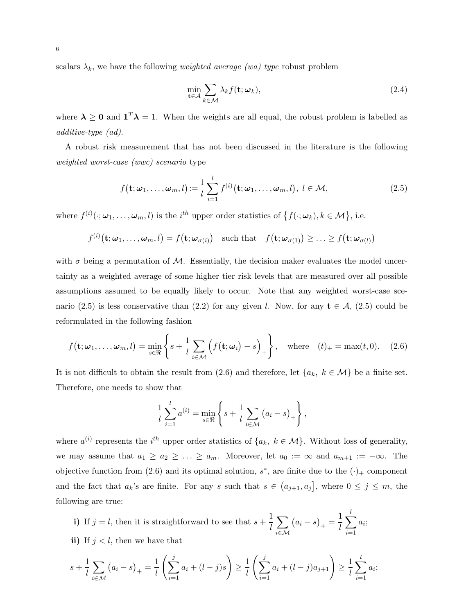scalars  $\lambda_k$ , we have the following *weighted average (wa) type* robust problem

$$
\min_{\mathbf{t}\in\mathcal{A}}\sum_{k\in\mathcal{M}}\lambda_k f(\mathbf{t};\boldsymbol{\omega}_k),
$$
\n(2.4)

where  $\lambda \geq 0$  and  $1^T \lambda = 1$ . When the weights are all equal, the robust problem is labelled as additive-type (ad).

A robust risk measurement that has not been discussed in the literature is the following weighted worst-case (wwc) scenario type

$$
f(\mathbf{t}; \boldsymbol{\omega}_1, \dots, \boldsymbol{\omega}_m, l) := \frac{1}{l} \sum_{i=1}^l f^{(i)}(\mathbf{t}; \boldsymbol{\omega}_1, \dots, \boldsymbol{\omega}_m, l), l \in \mathcal{M},
$$
\n(2.5)

where  $f^{(i)}(\cdot;\omega_1,\ldots,\omega_m,l)$  is the  $i^{th}$  upper order statistics of  $\{f(\cdot;\omega_k), k \in \mathcal{M}\},$  i.e.

$$
f^{(i)}(\mathbf{t};\omega_1,\ldots,\omega_m,l)=f(\mathbf{t};\omega_{\sigma(i)})\quad\text{such that}\quad f(\mathbf{t};\omega_{\sigma(1)})\geq\ldots\geq f(\mathbf{t};\omega_{\sigma(l)})
$$

with  $\sigma$  being a permutation of M. Essentially, the decision maker evaluates the model uncertainty as a weighted average of some higher tier risk levels that are measured over all possible assumptions assumed to be equally likely to occur. Note that any weighted worst-case scenario (2.5) is less conservative than (2.2) for any given l. Now, for any  $t \in \mathcal{A}$ , (2.5) could be reformulated in the following fashion

$$
f(\mathbf{t}; \omega_1, \dots, \omega_m, l) = \min_{s \in \Re} \left\{ s + \frac{1}{l} \sum_{i \in \mathcal{M}} \left( f(\mathbf{t}; \omega_i) - s \right)_+ \right\}, \quad \text{where} \quad (t)_+ = \max(t, 0). \quad (2.6)
$$

It is not difficult to obtain the result from (2.6) and therefore, let  $\{a_k, k \in \mathcal{M}\}$  be a finite set. Therefore, one needs to show that

$$
\frac{1}{l} \sum_{i=1}^{l} a^{(i)} = \min_{s \in \mathbb{R}} \left\{ s + \frac{1}{l} \sum_{i \in \mathcal{M}} (a_i - s)_+ \right\},\,
$$

where  $a^{(i)}$  represents the i<sup>th</sup> upper order statistics of  $\{a_k, k \in \mathcal{M}\}\$ . Without loss of generality, we may assume that  $a_1 \ge a_2 \ge \ldots \ge a_m$ . Moreover, let  $a_0 := \infty$  and  $a_{m+1} := -\infty$ . The objective function from (2.6) and its optimal solution,  $s^*$ , are finite due to the  $(\cdot)_+$  component and the fact that  $a_k$ 's are finite. For any s such that  $s \in (a_{j+1}, a_j]$ , where  $0 \leq j \leq m$ , the following are true:

i) If  $j = l$ , then it is straightforward to see that  $s + \frac{1}{l}$ l  $\sum$ i∈M  $(a_i - s)_{+} = \frac{1}{l}$ l  $\sum$ l  $i=1$  $a_i;$ ii) If  $j < l$ , then we have that

$$
s + \frac{1}{l} \sum_{i \in \mathcal{M}} (a_i - s)_+ = \frac{1}{l} \left( \sum_{i=1}^j a_i + (l - j)s \right) \ge \frac{1}{l} \left( \sum_{i=1}^j a_i + (l - j)a_{j+1} \right) \ge \frac{1}{l} \sum_{i=1}^l a_i;
$$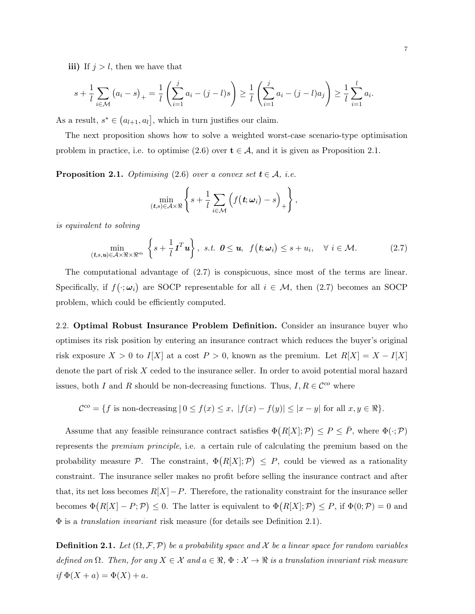iii) If  $j > l$ , then we have that

$$
s + \frac{1}{l} \sum_{i \in \mathcal{M}} (a_i - s)_+ = \frac{1}{l} \left( \sum_{i=1}^j a_i - (j - l)s \right) \ge \frac{1}{l} \left( \sum_{i=1}^j a_i - (j - l)a_j \right) \ge \frac{1}{l} \sum_{i=1}^l a_i.
$$

As a result,  $s^* \in (a_{l+1}, a_l]$ , which in turn justifies our claim.

The next proposition shows how to solve a weighted worst-case scenario-type optimisation problem in practice, i.e. to optimise (2.6) over  $t \in A$ , and it is given as Proposition 2.1.

**Proposition 2.1.** Optimising (2.6) over a convex set  $t \in A$ , i.e.

$$
\min_{(\boldsymbol{t},s)\in\mathcal{A}\times\Re}\left\{s+\frac{1}{l}\sum_{i\in\mathcal{M}}\left(f(\boldsymbol{t};\boldsymbol{\omega}_i)-s\right)_+\right\},\right
$$

is equivalent to solving

$$
\min_{(t,s,\mathbf{u})\in\mathcal{A}\times\Re\times\Re^m} \left\{ s + \frac{1}{l} \mathbf{1}^T \mathbf{u} \right\}, \text{ s.t. } \mathbf{0} \leq \mathbf{u}, \text{ } f(\mathbf{t};\boldsymbol{\omega}_i) \leq s + u_i, \quad \forall \text{ } i \in \mathcal{M}. \tag{2.7}
$$

The computational advantage of (2.7) is conspicuous, since most of the terms are linear. Specifically, if  $f(\cdot;\omega_i)$  are SOCP representable for all  $i \in \mathcal{M}$ , then (2.7) becomes an SOCP problem, which could be efficiently computed.

2.2. Optimal Robust Insurance Problem Definition. Consider an insurance buyer who optimises its risk position by entering an insurance contract which reduces the buyer's original risk exposure  $X > 0$  to  $I[X]$  at a cost  $P > 0$ , known as the premium. Let  $R[X] = X - I[X]$ denote the part of risk X ceded to the insurance seller. In order to avoid potential moral hazard issues, both I and R should be non-decreasing functions. Thus,  $I, R \in \mathcal{C}^{co}$  where

$$
\mathcal{C}^{co} = \{ f \text{ is non-decreasing } | 0 \le f(x) \le x, |f(x) - f(y)| \le |x - y| \text{ for all } x, y \in \Re \}.
$$

Assume that any feasible reinsurance contract satisfies  $\Phi(R[X]; \mathcal{P}) \leq P \leq \overline{P}$ , where  $\Phi(\cdot; \mathcal{P})$ represents the premium principle, i.e. a certain rule of calculating the premium based on the probability measure P. The constraint,  $\Phi(R[X]; \mathcal{P}) \leq P$ , could be viewed as a rationality constraint. The insurance seller makes no profit before selling the insurance contract and after that, its net loss becomes  $R[X]-P$ . Therefore, the rationality constraint for the insurance seller becomes  $\Phi(R[X] - P; \mathcal{P}) \leq 0$ . The latter is equivalent to  $\Phi(R[X]; \mathcal{P}) \leq P$ , if  $\Phi(0; \mathcal{P}) = 0$  and  $\Phi$  is a translation invariant risk measure (for details see Definition 2.1).

**Definition 2.1.** Let  $(\Omega, \mathcal{F}, \mathcal{P})$  be a probability space and X be a linear space for random variables defined on  $\Omega$ . Then, for any  $X \in \mathcal{X}$  and  $a \in \Re$ ,  $\Phi : \mathcal{X} \to \Re$  is a translation invariant risk measure if  $\Phi(X + a) = \Phi(X) + a$ .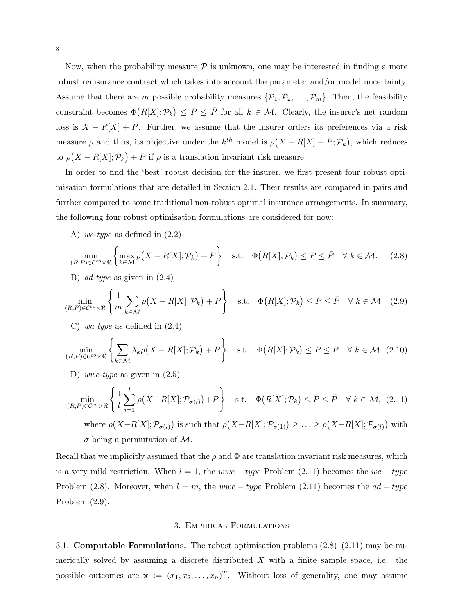Now, when the probability measure  $P$  is unknown, one may be interested in finding a more robust reinsurance contract which takes into account the parameter and/or model uncertainty. Assume that there are m possible probability measures  $\{\mathcal{P}_1, \mathcal{P}_2, \ldots, \mathcal{P}_m\}$ . Then, the feasibility constraint becomes  $\Phi(R[X]; \mathcal{P}_k) \leq P \leq \overline{P}$  for all  $k \in \mathcal{M}$ . Clearly, the insurer's net random loss is  $X - R[X] + P$ . Further, we assume that the insurer orders its preferences via a risk measure  $\rho$  and thus, its objective under the  $k^{th}$  model is  $\rho(X - R[X] + P; \mathcal{P}_k)$ , which reduces to  $\rho(X - R[X]; \mathcal{P}_k) + P$  if  $\rho$  is a translation invariant risk measure.

In order to find the 'best' robust decision for the insurer, we first present four robust optimisation formulations that are detailed in Section 2.1. Their results are compared in pairs and further compared to some traditional non-robust optimal insurance arrangements. In summary, the following four robust optimisation formulations are considered for now:

A) wc-type as defined in  $(2.2)$ 

$$
\min_{(R,P)\in\mathcal{C}^{co}\times\Re} \left\{ \max_{k\in\mathcal{M}} \rho\big(X - R[X]; \mathcal{P}_k\big) + P \right\} \quad \text{s.t.} \quad \Phi\big(R[X]; \mathcal{P}_k\big) \le P \le \bar{P} \quad \forall \ k \in \mathcal{M}. \tag{2.8}
$$

B) ad-type as given in (2.4)

$$
\min_{(R,P)\in\mathcal{C}^{co}\times\Re}\left\{\frac{1}{m}\sum_{k\in\mathcal{M}}\rho\big(X-R[X];\mathcal{P}_k\big)+P\right\}\quad\text{s.t.}\quad\Phi\big(R[X];\mathcal{P}_k\big)\le P\le\bar{P}\quad\forall\ k\in\mathcal{M}.\tag{2.9}
$$

C) wa-type as defined in  $(2.4)$ 

$$
\min_{(R,P)\in\mathcal{C}^{co}\times\Re}\left\{\sum_{k\in\mathcal{M}}\lambda_k\rho\big(X-R[X];\mathcal{P}_k\big)+P\right\}\quad\text{s.t.}\quad\Phi\big(R[X];\mathcal{P}_k\big)\leq P\leq\bar{P}\quad\forall\ k\in\mathcal{M}.\tag{2.10}
$$

D) wwc-type as given in (2.5)

$$
\min_{(R,P)\in\mathcal{C}^{co}\times\Re} \left\{ \frac{1}{l} \sum_{i=1}^{l} \rho(X-R[X]; \mathcal{P}_{\sigma(i)}) + P \right\} \quad \text{s.t.} \quad \Phi(R[X]; \mathcal{P}_k) \le P \le \bar{P} \quad \forall \ k \in \mathcal{M}, \ (2.11)
$$
\n
$$
\text{where } \rho(X-R[X]; \mathcal{P}_{\sigma(i)}) \text{ is such that } \rho(X-R[X]; \mathcal{P}_{\sigma(1)}) \ge \dots \ge \rho(X-R[X]; \mathcal{P}_{\sigma(l)}) \text{ with}
$$
\n
$$
\sigma \text{ being a permutation of } \mathcal{M}.
$$

Recall that we implicitly assumed that the  $\rho$  and  $\Phi$  are translation invariant risk measures, which is a very mild restriction. When  $l = 1$ , the  $wwc - type$  Problem (2.11) becomes the  $wc - type$ Problem (2.8). Moreover, when  $l = m$ , the  $wwc - type$  Problem (2.11) becomes the  $ad - type$ Problem (2.9).

#### 3. Empirical Formulations

3.1. **Computable Formulations.** The robust optimisation problems  $(2.8)$ – $(2.11)$  may be numerically solved by assuming a discrete distributed  $X$  with a finite sample space, i.e. the possible outcomes are  $\mathbf{x} := (x_1, x_2, \dots, x_n)^T$ . Without loss of generality, one may assume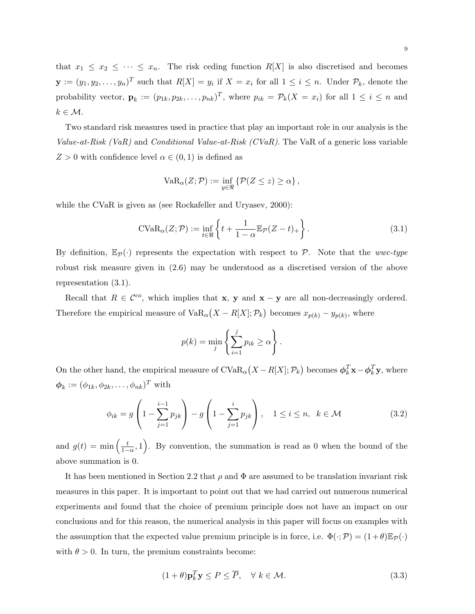that  $x_1 \leq x_2 \leq \cdots \leq x_n$ . The risk ceding function  $R[X]$  is also discretised and becomes  $\mathbf{y} := (y_1, y_2, \dots, y_n)^T$  such that  $R[X] = y_i$  if  $X = x_i$  for all  $1 \le i \le n$ . Under  $\mathcal{P}_k$ , denote the probability vector,  $\mathbf{p}_k := (p_{1k}, p_{2k}, \dots, p_{nk})^T$ , where  $p_{ik} = \mathcal{P}_k(X = x_i)$  for all  $1 \le i \le n$  and  $k \in \mathcal{M}$ .

Two standard risk measures used in practice that play an important role in our analysis is the Value-at-Risk (VaR) and Conditional Value-at-Risk (CVaR). The VaR of a generic loss variable  $Z > 0$  with confidence level  $\alpha \in (0,1)$  is defined as

$$
VaR_{\alpha}(Z; \mathcal{P}) := \inf_{y \in \mathfrak{R}} \left\{ \mathcal{P}(Z \leq z) \geq \alpha \right\},\
$$

while the CVaR is given as (see Rockafeller and Uryasev, 2000):

$$
\text{CVaR}_{\alpha}(Z;\mathcal{P}) := \inf_{t \in \mathbb{R}} \left\{ t + \frac{1}{1-\alpha} \mathbb{E}_{\mathcal{P}}(Z-t)_+ \right\}.
$$
 (3.1)

By definition,  $\mathbb{E}_{\mathcal{P}}(\cdot)$  represents the expectation with respect to P. Note that the *wwc-type* robust risk measure given in (2.6) may be understood as a discretised version of the above representation (3.1).

Recall that  $R \in \mathcal{C}^{co}$ , which implies that **x**, **y** and **x** − **y** are all non-decreasingly ordered. Therefore the empirical measure of  $VaR_{\alpha}(X - R[X]; \mathcal{P}_k)$  becomes  $x_{p(k)} - y_{p(k)}$ , where

$$
p(k) = \min_{j} \left\{ \sum_{i=1}^{j} p_{ik} \ge \alpha \right\}.
$$

On the other hand, the empirical measure of  $CVaR_{\alpha}(X - R[X]; \mathcal{P}_k)$  becomes  $\phi_k^T \mathbf{x} - \phi_k^T \mathbf{y}$ , where  $\boldsymbol{\phi}_k := (\phi_{1k}, \phi_{2k}, \dots, \phi_{nk})^T$  with

$$
\phi_{ik} = g \left( 1 - \sum_{j=1}^{i-1} p_{jk} \right) - g \left( 1 - \sum_{j=1}^{i} p_{jk} \right), \quad 1 \le i \le n, \ k \in \mathcal{M}
$$
 (3.2)

and  $g(t) = \min\left(\frac{t}{1-\alpha}, 1\right)$ . By convention, the summation is read as 0 when the bound of the above summation is 0.

It has been mentioned in Section 2.2 that  $\rho$  and  $\Phi$  are assumed to be translation invariant risk measures in this paper. It is important to point out that we had carried out numerous numerical experiments and found that the choice of premium principle does not have an impact on our conclusions and for this reason, the numerical analysis in this paper will focus on examples with the assumption that the expected value premium principle is in force, i.e.  $\Phi(\cdot;\mathcal{P}) = (1+\theta)\mathbb{E}_{\mathcal{P}}(\cdot)$ with  $\theta > 0$ . In turn, the premium constraints become: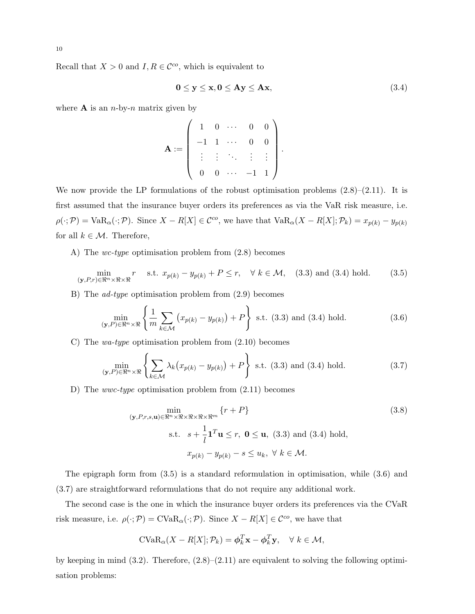Recall that  $X > 0$  and  $I, R \in \mathcal{C}^{co}$ , which is equivalent to

$$
0 \le y \le x, 0 \le Ay \le Ax,\tag{3.4}
$$

.

where  $A$  is an *n*-by-*n* matrix given by

$$
\mathbf{A} := \left( \begin{array}{cccc} 1 & 0 & \cdots & 0 & 0 \\ -1 & 1 & \cdots & 0 & 0 \\ \vdots & \vdots & \ddots & \vdots & \vdots \\ 0 & 0 & \cdots & -1 & 1 \end{array} \right)
$$

We now provide the LP formulations of the robust optimisation problems  $(2.8)$ – $(2.11)$ . It is first assumed that the insurance buyer orders its preferences as via the VaR risk measure, i.e.  $\rho(\cdot;\mathcal{P}) = \text{VaR}_{\alpha}(\cdot;\mathcal{P})$ . Since  $X - R[X] \in \mathcal{C}^{co}$ , we have that  $\text{VaR}_{\alpha}(X - R[X]; \mathcal{P}_k) = x_{p(k)} - y_{p(k)}$ for all  $k \in \mathcal{M}$ . Therefore,

A) The wc-type optimisation problem from (2.8) becomes

$$
\min_{(\mathbf{y},P,r)\in\mathbb{R}^n\times\mathbb{R}\times\mathbb{R}} r \quad \text{s.t. } x_{p(k)} - y_{p(k)} + P \le r, \quad \forall \ k \in \mathcal{M}, \quad (3.3) \text{ and } (3.4) \text{ hold.} \tag{3.5}
$$

B) The ad-type optimisation problem from (2.9) becomes

$$
\min_{(\mathbf{y},P)\in\mathbb{R}^n\times\mathbb{R}}\left\{\frac{1}{m}\sum_{k\in\mathcal{M}}\left(x_{p(k)}-y_{p(k)}\right)+P\right\}\text{ s.t. (3.3) and (3.4) hold.}\tag{3.6}
$$

C) The wa-type optimisation problem from (2.10) becomes

$$
\min_{(\mathbf{y},P)\in\mathbb{R}^n\times\mathbb{R}}\left\{\sum_{k\in\mathcal{M}}\lambda_k\big(x_{p(k)}-y_{p(k)}\big)+P\right\}\text{ s.t. (3.3) and (3.4) hold.}\tag{3.7}
$$

D) The wwc-type optimisation problem from (2.11) becomes

$$
\min_{\substack{(\mathbf{y}, P, r, s, \mathbf{u}) \in \Re^n \times \Re \times \Re \times \Re \times \Re^n}} \{r + P\}
$$
\n
$$
\text{s.t. } s + \frac{1}{l} \mathbf{1}^T \mathbf{u} \le r, \ \mathbf{0} \le \mathbf{u}, \ (3.3) \text{ and } (3.4) \text{ hold,}
$$
\n
$$
x_{p(k)} - y_{p(k)} - s \le u_k, \ \forall \ k \in \mathcal{M}.
$$
\n
$$
(3.8)
$$

The epigraph form from (3.5) is a standard reformulation in optimisation, while (3.6) and (3.7) are straightforward reformulations that do not require any additional work.

The second case is the one in which the insurance buyer orders its preferences via the CVaR risk measure, i.e.  $\rho(\cdot;\mathcal{P}) = \text{CVaR}_{\alpha}(\cdot;\mathcal{P})$ . Since  $X - R[X] \in \mathcal{C}^{\infty}$ , we have that

$$
CVaR_{\alpha}(X - R[X]; \mathcal{P}_k) = \boldsymbol{\phi}_k^T \mathbf{x} - \boldsymbol{\phi}_k^T \mathbf{y}, \quad \forall \ k \in \mathcal{M},
$$

by keeping in mind  $(3.2)$ . Therefore,  $(2.8)$ – $(2.11)$  are equivalent to solving the following optimisation problems: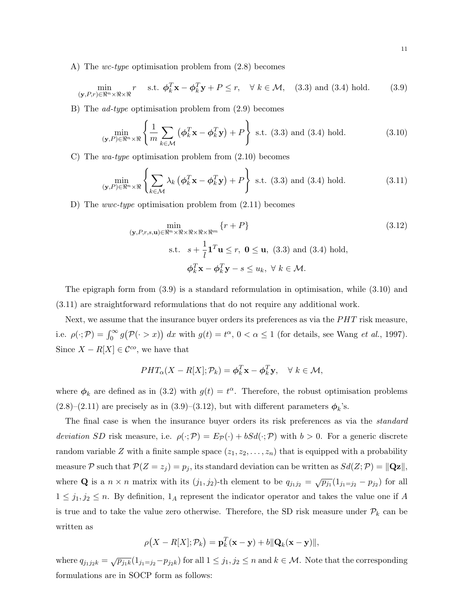A) The wc-type optimisation problem from (2.8) becomes

$$
\min_{(\mathbf{y}, P, r) \in \mathbb{R}^n \times \mathbb{R} \times \mathbb{R}} r \quad \text{s.t. } \boldsymbol{\phi}_k^T \mathbf{x} - \boldsymbol{\phi}_k^T \mathbf{y} + P \le r, \quad \forall \ k \in \mathcal{M}, \quad (3.3) \text{ and } (3.4) \text{ hold.} \tag{3.9}
$$

B) The ad-type optimisation problem from (2.9) becomes

$$
\min_{(\mathbf{y},P)\in\mathbb{R}^n\times\mathbb{R}}\left\{\frac{1}{m}\sum_{k\in\mathcal{M}}\left(\boldsymbol{\phi}_k^T\mathbf{x}-\boldsymbol{\phi}_k^T\mathbf{y}\right)+P\right\}\text{ s.t. (3.3) and (3.4) hold.}\tag{3.10}
$$

C) The wa-type optimisation problem from  $(2.10)$  becomes

$$
\min_{(\mathbf{y}, P) \in \mathbb{R}^n \times \mathbb{R}} \left\{ \sum_{k \in \mathcal{M}} \lambda_k \left( \boldsymbol{\phi}_k^T \mathbf{x} - \boldsymbol{\phi}_k^T \mathbf{y} \right) + P \right\} \text{ s.t. (3.3) and (3.4) hold.}
$$
 (3.11)

D) The wwc-type optimisation problem from (2.11) becomes

$$
\min_{(\mathbf{y}, P, r, s, \mathbf{u}) \in \mathbb{R}^{n} \times \mathbb{R} \times \mathbb{R} \times \mathbb{R} \times \mathbb{R}^{m}} \{r + P\}
$$
\n
$$
\text{s.t.} \quad s + \frac{1}{l} \mathbf{1}^{T} \mathbf{u} \le r, \ \mathbf{0} \le \mathbf{u}, \ (3.3) \text{ and } (3.4) \text{ hold,}
$$
\n
$$
\phi_k^T \mathbf{x} - \phi_k^T \mathbf{y} - s \le u_k, \ \forall \ k \in \mathcal{M}.
$$
\n
$$
(3.12)
$$

The epigraph form from (3.9) is a standard reformulation in optimisation, while (3.10) and (3.11) are straightforward reformulations that do not require any additional work.

Next, we assume that the insurance buyer orders its preferences as via the  $PHT$  risk measure, i.e.  $\rho(\cdot; \mathcal{P}) = \int_0^\infty g(\mathcal{P}(\cdot > x)) dx$  with  $g(t) = t^{\alpha}, 0 < \alpha \leq 1$  (for details, see Wang *et al.*, 1997). Since  $X - R[X] \in \mathcal{C}^{co}$ , we have that

$$
PHT_{\alpha}(X - R[X]; \mathcal{P}_k) = \boldsymbol{\phi}_k^T \mathbf{x} - \boldsymbol{\phi}_k^T \mathbf{y}, \quad \forall \ k \in \mathcal{M},
$$

where  $\phi_k$  are defined as in (3.2) with  $g(t) = t^{\alpha}$ . Therefore, the robust optimisation problems  $(2.8)$ – $(2.11)$  are precisely as in  $(3.9)$ – $(3.12)$ , but with different parameters  $\phi_k$ 's.

The final case is when the insurance buyer orders its risk preferences as via the *standard* deviation SD risk measure, i.e.  $\rho(\cdot;\mathcal{P}) = E_{\mathcal{P}}(\cdot) + bSd(\cdot;\mathcal{P})$  with  $b > 0$ . For a generic discrete random variable Z with a finite sample space  $(z_1, z_2, \ldots, z_n)$  that is equipped with a probability measure P such that  $\mathcal{P}(Z = z_j) = p_j$ , its standard deviation can be written as  $Sd(Z; \mathcal{P}) = ||\mathbf{Qz}||$ , where **Q** is a  $n \times n$  matrix with its  $(j_1, j_2)$ -th element to be  $q_{j_1j_2} = \sqrt{p_{j_1}}(1_{j_1=j_2} - p_{j_2})$  for all  $1 \leq j_1, j_2 \leq n$ . By definition,  $1_A$  represent the indicator operator and takes the value one if A is true and to take the value zero otherwise. Therefore, the SD risk measure under  $P_k$  can be written as

$$
\rho(X - R[X]; \mathcal{P}_k) = \mathbf{p}_k^T(\mathbf{x} - \mathbf{y}) + b\|\mathbf{Q}_k(\mathbf{x} - \mathbf{y})\|,
$$

where  $q_{j_1j_2k} = \sqrt{p_{j_1k}}(1_{j_1=j_2}-p_{j_2k})$  for all  $1 \leq j_1, j_2 \leq n$  and  $k \in \mathcal{M}$ . Note that the corresponding formulations are in SOCP form as follows: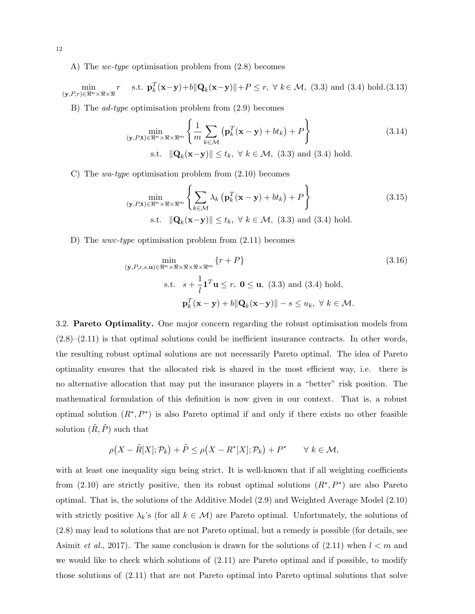A) The wc-type optimisation problem from (2.8) becomes

$$
\min_{(\mathbf{y},P,r)\in\mathbb{R}^n\times\mathbb{R}\times\mathbb{R}} r \quad \text{s.t. } \mathbf{p}_k^T(\mathbf{x}-\mathbf{y})+b\|\mathbf{Q}_k(\mathbf{x}-\mathbf{y})\|+P\leq r, \ \forall \ k\in\mathcal{M}, \ (3.3) \text{ and } (3.4) \text{ hold.} (3.13)
$$

B) The ad-type optimisation problem from (2.9) becomes

$$
\min_{(\mathbf{y}, P, \mathbf{t}) \in \mathbb{R}^n \times \mathbb{R} \times \mathbb{R}^m} \left\{ \frac{1}{m} \sum_{k \in \mathcal{M}} \left( \mathbf{p}_k^T(\mathbf{x} - \mathbf{y}) + bt_k \right) + P \right\}
$$
\n
$$
\text{s.t.} \quad \|\mathbf{Q}_k(\mathbf{x} - \mathbf{y})\| \le t_k, \ \forall \ k \in \mathcal{M}, \ (3.3) \text{ and } (3.4) \text{ hold.}
$$
\n(3.14)

C) The wa-type optimisation problem from (2.10) becomes

$$
\min_{(\mathbf{y}, P, \mathbf{t}) \in \mathbb{R}^n \times \mathbb{R} \times \mathbb{R}^m} \left\{ \sum_{k \in \mathcal{M}} \lambda_k \left( \mathbf{p}_k^T(\mathbf{x} - \mathbf{y}) + bt_k \right) + P \right\}
$$
\n
$$
\text{s.t. } \|\mathbf{Q}_k(\mathbf{x} - \mathbf{y})\| \le t_k, \ \forall \ k \in \mathcal{M}, \ (3.3) \text{ and } (3.4) \text{ hold.}
$$
\n(3.15)

D) The wwc-type optimisation problem from (2.11) becomes

$$
\min_{(\mathbf{y},P,r,s,\mathbf{u}) \in \mathbb{R}^n \times \mathbb{R} \times \mathbb{R} \times \mathbb{R}^m} \{r+P\}
$$
\n
$$
\text{s.t. } s + \frac{1}{l} \mathbf{1}^T \mathbf{u} \le r, \ \mathbf{0} \le \mathbf{u}, \ (3.3) \text{ and } (3.4) \text{ hold,}
$$
\n
$$
\mathbf{p}_k^T (\mathbf{x} - \mathbf{y}) + b \|\mathbf{Q}_k (\mathbf{x} - \mathbf{y})\| - s \le u_k, \ \forall \ k \in \mathcal{M}.
$$
\n
$$
(3.16)
$$

3.2. Pareto Optimality. One major concern regarding the robust optimisation models from  $(2.8)$ – $(2.11)$  is that optimal solutions could be inefficient insurance contracts. In other words, the resulting robust optimal solutions are not necessarily Pareto optimal. The idea of Pareto optimality ensures that the allocated risk is shared in the most efficient way, i.e. there is no alternative allocation that may put the insurance players in a "better" risk position. The mathematical formulation of this definition is now given in our context. That is, a robust optimal solution  $(R^*, P^*)$  is also Pareto optimal if and only if there exists no other feasible solution  $(\tilde{R}, \tilde{P})$  such that

$$
\rho(X - \tilde{R}[X]; \mathcal{P}_k) + \tilde{P} \le \rho(X - R^*[X]; \mathcal{P}_k) + P^* \qquad \forall \ k \in \mathcal{M},
$$

with at least one inequality sign being strict. It is well-known that if all weighting coefficients from  $(2.10)$  are strictly positive, then its robust optimal solutions  $(R^*, P^*)$  are also Pareto optimal. That is, the solutions of the Additive Model (2.9) and Weighted Average Model (2.10) with strictly positive  $\lambda_k$ 's (for all  $k \in \mathcal{M}$ ) are Pareto optimal. Unfortunately, the solutions of (2.8) may lead to solutions that are not Pareto optimal, but a remedy is possible (for details, see Asimit *et al.*, 2017). The same conclusion is drawn for the solutions of  $(2.11)$  when  $l < m$  and we would like to check which solutions of (2.11) are Pareto optimal and if possible, to modify those solutions of (2.11) that are not Pareto optimal into Pareto optimal solutions that solve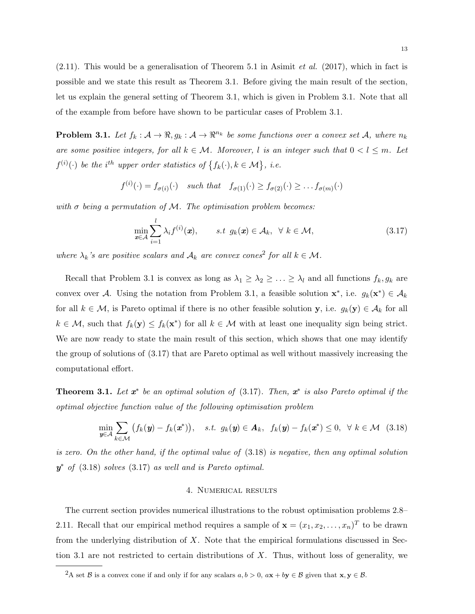$(2.11)$ . This would be a generalisation of Theorem 5.1 in Asimit *et al.* (2017), which in fact is possible and we state this result as Theorem 3.1. Before giving the main result of the section, let us explain the general setting of Theorem 3.1, which is given in Problem 3.1. Note that all of the example from before have shown to be particular cases of Problem 3.1.

**Problem 3.1.** Let  $f_k : \mathcal{A} \to \mathbb{R}, g_k : \mathcal{A} \to \mathbb{R}^{n_k}$  be some functions over a convex set  $\mathcal{A}$ , where  $n_k$ are some positive integers, for all  $k \in \mathcal{M}$ . Moreover, l is an integer such that  $0 < l \leq m$ . Let  $f^{(i)}(\cdot)$  be the i<sup>th</sup> upper order statistics of  $\{f_k(\cdot), k \in \mathcal{M}\}, i.e.$ 

$$
f^{(i)}(\cdot) = f_{\sigma(i)}(\cdot) \quad \text{such that} \quad f_{\sigma(1)}(\cdot) \ge f_{\sigma(2)}(\cdot) \ge \dots f_{\sigma(m)}(\cdot)
$$

with  $\sigma$  being a permutation of M. The optimisation problem becomes:

$$
\min_{\mathbf{x}\in\mathcal{A}}\sum_{i=1}^{l}\lambda_{i}f^{(i)}(\mathbf{x}), \qquad s.t \ \ g_{k}(\mathbf{x})\in\mathcal{A}_{k}, \ \ \forall \ k\in\mathcal{M}, \tag{3.17}
$$

where  $\lambda_k$ 's are positive scalars and  $A_k$  are convex cones<sup>2</sup> for all  $k \in \mathcal{M}$ .

Recall that Problem 3.1 is convex as long as  $\lambda_1 \geq \lambda_2 \geq \ldots \geq \lambda_l$  and all functions  $f_k, g_k$  are convex over A. Using the notation from Problem 3.1, a feasible solution  $\mathbf{x}^*$ , i.e.  $g_k(\mathbf{x}^*) \in A_k$ for all  $k \in \mathcal{M}$ , is Pareto optimal if there is no other feasible solution y, i.e.  $g_k(\mathbf{y}) \in \mathcal{A}_k$  for all  $k \in \mathcal{M}$ , such that  $f_k(\mathbf{y}) \leq f_k(\mathbf{x}^*)$  for all  $k \in \mathcal{M}$  with at least one inequality sign being strict. We are now ready to state the main result of this section, which shows that one may identify the group of solutions of (3.17) that are Pareto optimal as well without massively increasing the computational effort.

**Theorem 3.1.** Let  $x^*$  be an optimal solution of (3.17). Then,  $x^*$  is also Pareto optimal if the optimal objective function value of the following optimisation problem

$$
\min_{\mathbf{y}\in\mathcal{A}}\sum_{k\in\mathcal{M}}\big(f_k(\mathbf{y})-f_k(\mathbf{x}^*)\big),\quad s.t.\ \ g_k(\mathbf{y})\in\mathbf{A}_k,\ \ f_k(\mathbf{y})-f_k(\mathbf{x}^*)\leq 0,\ \ \forall\ k\in\mathcal{M}\ \ (3.18)
$$

is zero. On the other hand, if the optimal value of  $(3.18)$  is negative, then any optimal solution  $y^*$  of  $(3.18)$  solves  $(3.17)$  as well and is Pareto optimal.

### 4. Numerical results

The current section provides numerical illustrations to the robust optimisation problems 2.8– 2.11. Recall that our empirical method requires a sample of  $\mathbf{x} = (x_1, x_2, \dots, x_n)^T$  to be drawn from the underlying distribution of  $X$ . Note that the empirical formulations discussed in Section 3.1 are not restricted to certain distributions of  $X$ . Thus, without loss of generality, we

<sup>&</sup>lt;sup>2</sup>A set B is a convex cone if and only if for any scalars  $a, b > 0$ ,  $a\mathbf{x} + b\mathbf{y} \in \mathcal{B}$  given that  $\mathbf{x}, \mathbf{y} \in \mathcal{B}$ .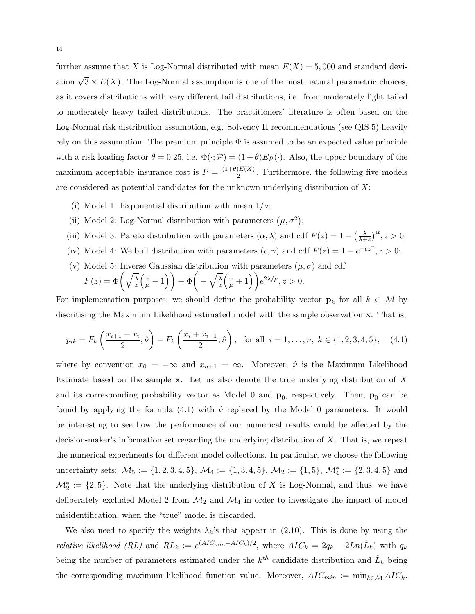further assume that X is Log-Normal distributed with mean  $E(X) = 5,000$  and standard deviation  $\sqrt{3} \times E(X)$ . The Log-Normal assumption is one of the most natural parametric choices, as it covers distributions with very different tail distributions, i.e. from moderately light tailed to moderately heavy tailed distributions. The practitioners' literature is often based on the Log-Normal risk distribution assumption, e.g. Solvency II recommendations (see QIS 5) heavily rely on this assumption. The premium principle  $\Phi$  is assumed to be an expected value principle with a risk loading factor  $\theta = 0.25$ , i.e.  $\Phi(\cdot; \mathcal{P}) = (1 + \theta)E_{\mathcal{P}}(\cdot)$ . Also, the upper boundary of the maximum acceptable insurance cost is  $\overline{P} = \frac{(1+\theta)E(X)}{2}$  $\frac{E(X)}{2}$ . Furthermore, the following five models are considered as potential candidates for the unknown underlying distribution of  $X$ :

- (i) Model 1: Exponential distribution with mean  $1/\nu$ ;
- (ii) Model 2: Log-Normal distribution with parameters  $(\mu, \sigma^2)$ ;
- (iii) Model 3: Pareto distribution with parameters  $(\alpha, \lambda)$  and cdf  $F(z) = 1 \left(\frac{\lambda}{\lambda + \lambda}\right)$  $\frac{\lambda}{\lambda+z}$  $\Big)^\alpha$ ,  $z > 0$ ;
- (iv) Model 4: Weibull distribution with parameters  $(c, \gamma)$  and cdf  $F(z) = 1 e^{-cz^{\gamma}}, z > 0;$
- (v) Model 5: Inverse Gaussian distribution with parameters  $(\mu, \sigma)$  and cdf

$$
F(z) = \Phi\left(\sqrt{\frac{\lambda}{x}}\left(\frac{x}{\mu} - 1\right)\right) + \Phi\left(-\sqrt{\frac{\lambda}{x}}\left(\frac{x}{\mu} + 1\right)\right)e^{2\lambda/\mu}, z > 0.
$$

For implementation purposes, we should define the probability vector  $\mathbf{p}_k$  for all  $k \in \mathcal{M}$  by discritising the Maximum Likelihood estimated model with the sample observation x. That is,

$$
p_{ik} = F_k \left( \frac{x_{i+1} + x_i}{2}; \hat{\nu} \right) - F_k \left( \frac{x_i + x_{i-1}}{2}; \hat{\nu} \right), \text{ for all } i = 1, \dots, n, k \in \{1, 2, 3, 4, 5\}, \quad (4.1)
$$

where by convention  $x_0 = -\infty$  and  $x_{n+1} = \infty$ . Moreover,  $\hat{\nu}$  is the Maximum Likelihood Estimate based on the sample  $x$ . Let us also denote the true underlying distribution of X and its corresponding probability vector as Model 0 and  $p_0$ , respectively. Then,  $p_0$  can be found by applying the formula (4.1) with  $\hat{\nu}$  replaced by the Model 0 parameters. It would be interesting to see how the performance of our numerical results would be affected by the decision-maker's information set regarding the underlying distribution of  $X$ . That is, we repeat the numerical experiments for different model collections. In particular, we choose the following uncertainty sets:  $M_5 := \{1, 2, 3, 4, 5\}$ ,  $M_4 := \{1, 3, 4, 5\}$ ,  $M_2 := \{1, 5\}$ ,  $M_4^* := \{2, 3, 4, 5\}$  and  $\mathcal{M}_{2}^{*} := \{2, 5\}.$  Note that the underlying distribution of X is Log-Normal, and thus, we have deliberately excluded Model 2 from  $\mathcal{M}_2$  and  $\mathcal{M}_4$  in order to investigate the impact of model misidentification, when the "true" model is discarded.

We also need to specify the weights  $\lambda_k$ 's that appear in (2.10). This is done by using the *relative likelihood (RL)* and  $RL_k := e^{(AIC_{min}-AIC_k)/2}$ , where  $AIC_k = 2q_k - 2Ln(\hat{L}_k)$  with  $q_k$ being the number of parameters estimated under the  $k^{th}$  candidate distribution and  $\hat{L}_k$  being the corresponding maximum likelihood function value. Moreover,  $AIC_{min} := \min_{k \in \mathcal{M}} AIC_k$ .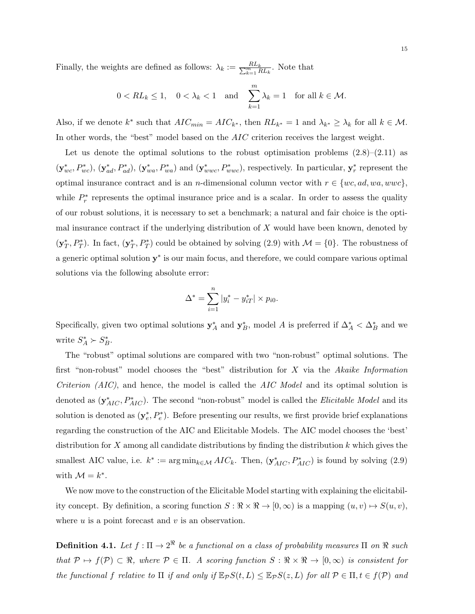Finally, the weights are defined as follows:  $\lambda_k := \frac{RL_k}{\sum_{k=1}^{m} RL_k}$ . Note that

$$
0 < R L_k \le 1, \quad 0 < \lambda_k < 1 \quad \text{and} \quad \sum_{k=1}^m \lambda_k = 1 \quad \text{for all } k \in \mathcal{M}.
$$

Also, if we denote  $k^*$  such that  $AIC_{min} = AIC_{k^*}$ , then  $RL_{k^*} = 1$  and  $\lambda_{k^*} \geq \lambda_k$  for all  $k \in \mathcal{M}$ . In other words, the "best" model based on the AIC criterion receives the largest weight.

Let us denote the optimal solutions to the robust optimisation problems  $(2.8)$ – $(2.11)$  as  $(\mathbf{y}_{wc}^*, P_{wc}^*), (\mathbf{y}_{ad}^*, P_{ad}^*), (\mathbf{y}_{wa}^*, P_{wa}^*)$  and  $(\mathbf{y}_{wwc}^*, P_{wwc}^*),$  respectively. In particular,  $\mathbf{y}_{r}^*$  represent the optimal insurance contract and is an *n*-dimensional column vector with  $r \in \{wc, ad, wa, wwc\}$ , while  $P_r^*$  represents the optimal insurance price and is a scalar. In order to assess the quality of our robust solutions, it is necessary to set a benchmark; a natural and fair choice is the optimal insurance contract if the underlying distribution of  $X$  would have been known, denoted by  $(\mathbf{y}_T^*, P_T^*)$ . In fact,  $(\mathbf{y}_T^*, P_T^*)$  could be obtained by solving (2.9) with  $\mathcal{M} = \{0\}$ . The robustness of a generic optimal solution  $y^*$  is our main focus, and therefore, we could compare various optimal solutions via the following absolute error:

$$
\Delta^* = \sum_{i=1}^n |y_i^* - y_{iT}^*| \times p_{i0}.
$$

Specifically, given two optimal solutions  $y_A^*$  and  $y_B^*$ , model A is preferred if  $\Delta_A^* < \Delta_B^*$  and we write  $S_A^* \succ S_B^*$ .

The "robust" optimal solutions are compared with two "non-robust" optimal solutions. The first "non-robust" model chooses the "best" distribution for X via the Akaike Information Criterion (AIC), and hence, the model is called the AIC Model and its optimal solution is denoted as  $(\mathbf{y}_{AIC}^*, P_{AIC}^*)$ . The second "non-robust" model is called the *Elicitable Model* and its solution is denoted as  $(\mathbf{y}_e^*, P_e^*)$ . Before presenting our results, we first provide brief explanations regarding the construction of the AIC and Elicitable Models. The AIC model chooses the 'best' distribution for X among all candidate distributions by finding the distribution  $k$  which gives the smallest AIC value, i.e.  $k^* := \arg \min_{k \in \mathcal{M}} AIC_k$ . Then,  $(\mathbf{y}_{AIC}^*, P_{AIC}^*)$  is found by solving (2.9) with  $\mathcal{M} = k^*$ .

We now move to the construction of the Elicitable Model starting with explaining the elicitability concept. By definition, a scoring function  $S : \mathbb{R} \times \mathbb{R} \to [0, \infty)$  is a mapping  $(u, v) \mapsto S(u, v)$ , where  $u$  is a point forecast and  $v$  is an observation.

**Definition 4.1.** Let  $f : \Pi \to 2^{\Re}$  be a functional on a class of probability measures  $\Pi$  on  $\Re$  such that  $P \mapsto f(P) \subset \Re$ , where  $P \in \Pi$ . A scoring function  $S : \Re \times \Re \to [0, \infty)$  is consistent for the functional f relative to  $\Pi$  if and only if  $\mathbb{E}_{\mathcal{P}}S(t,L) \leq \mathbb{E}_{\mathcal{P}}S(z,L)$  for all  $\mathcal{P} \in \Pi, t \in f(\mathcal{P})$  and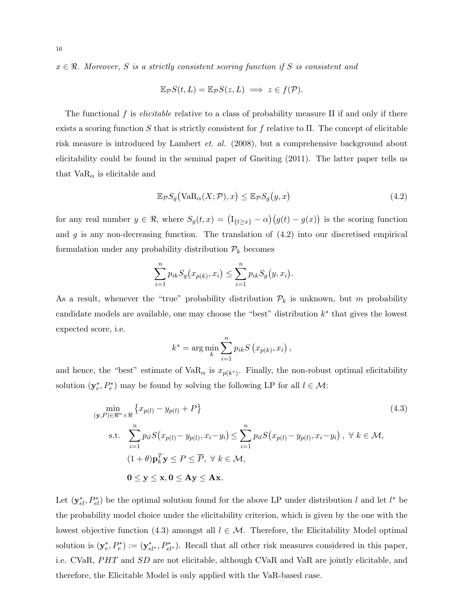$x \in \mathbb{R}$ . Moreover, S is a strictly consistent scoring function if S is consistent and

$$
\mathbb{E}_{\mathcal{P}}S(t,L) = \mathbb{E}_{\mathcal{P}}S(z,L) \implies z \in f(\mathcal{P}).
$$

The functional f is *elicitable* relative to a class of probability measure  $\Pi$  if and only if there exists a scoring function S that is strictly consistent for f relative to  $\Pi$ . The concept of elicitable risk measure is introduced by Lambert et. al. (2008), but a comprehensive background about elicitability could be found in the seminal paper of Gneiting (2011). The latter paper tells us that  $VaR_{\alpha}$  is elicitable and

$$
\mathbb{E}_{\mathcal{P}} S_g \big( \text{VaR}_{\alpha}(X; \mathcal{P}), x \big) \leq \mathbb{E}_{\mathcal{P}} S_g \big( y, x \big) \tag{4.2}
$$

for any real number  $y \in \Re$ , where  $S_g(t, x) = (I_{\{t \geq x\}} - \alpha)(g(t) - g(x))$  is the scoring function and  $g$  is any non-decreasing function. The translation of  $(4.2)$  into our discretised empirical formulation under any probability distribution  $\mathcal{P}_k$  becomes

$$
\sum_{i=1}^{n} p_{ik} S_g(x_{p(k)}, x_i) \leq \sum_{i=1}^{n} p_{ik} S_g(y, x_i).
$$

As a result, whenever the "true" probability distribution  $\mathcal{P}_k$  is unknown, but m probability candidate models are available, one may choose the "best" distribution  $k^*$  that gives the lowest expected score, i.e.

$$
k^*
$$
 = arg min<sub>k</sub>  $\sum_{i=1}^{n} p_{ik} S(x_{p(k)}, x_i)$ ,

and hence, the "best" estimate of  $VaR_{\alpha}$  is  $x_{p(k^*)}$ . Finally, the non-robust optimal elicitability solution  $(\mathbf{y}_{e}^{*}, P_{e}^{*})$  may be found by solving the following LP for all  $l \in \mathcal{M}$ :

$$
\min_{(\mathbf{y}, P) \in \mathbb{R}^n \times \mathbb{R}} \left\{ x_{p(l)} - y_{p(l)} + P \right\}
$$
\n
$$
\text{s.t. } \sum_{i=1}^n p_{il} S(x_{p(l)} - y_{p(l)}, x_i - y_i) \le \sum_{i=1}^n p_{il} S(x_{p(l)} - y_{p(l)}, x_i - y_i), \ \forall \ k \in \mathcal{M},
$$
\n
$$
(1 + \theta) \mathbf{p}_k^T \mathbf{y} \le P \le \overline{P}, \ \forall \ k \in \mathcal{M},
$$
\n
$$
\mathbf{0} \le \mathbf{y} \le \mathbf{x}, \mathbf{0} \le \mathbf{A} \mathbf{y} \le \mathbf{A} \mathbf{x}.
$$
\n
$$
(4.3)
$$

Let  $(\mathbf{y}_{el}^*, P_{el}^*)$  be the optimal solution found for the above LP under distribution l and let l<sup>\*</sup> be the probability model choice under the elicitability criterion, which is given by the one with the lowest objective function (4.3) amongst all  $l \in \mathcal{M}$ . Therefore, the Elicitability Model optimal solution is  $(\mathbf{y}_{e}^{*}, P_{e}^{*}) := (\mathbf{y}_{el}^{*}, P_{el}^{*})$ . Recall that all other risk measures considered in this paper, i.e. CVaR, PHT and SD are not elicitable, although CVaR and VaR are jointly elicitable, and therefore, the Elicitable Model is only applied with the VaR-based case.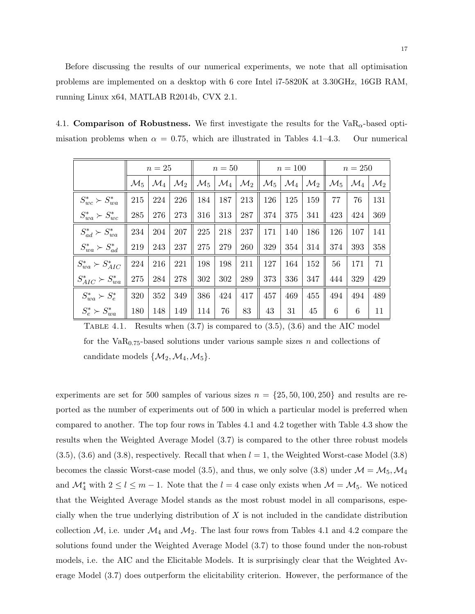Before discussing the results of our numerical experiments, we note that all optimisation problems are implemented on a desktop with 6 core Intel i7-5820K at 3.30GHz, 16GB RAM, running Linux x64, MATLAB R2014b, CVX 2.1.

4.1. Comparison of Robustness. We first investigate the results for the  $VaR_{\alpha}$ -based optimisation problems when  $\alpha = 0.75$ , which are illustrated in Tables 4.1–4.3. Our numerical

|                            |                 | $n=25$ |                                    |                 | $n=50$ |                                              |                 | $n=100$           |                           |     | $n=250$                                               |     |
|----------------------------|-----------------|--------|------------------------------------|-----------------|--------|----------------------------------------------|-----------------|-------------------|---------------------------|-----|-------------------------------------------------------|-----|
|                            | $\mathcal{M}_5$ |        | $\mathcal{M}_4 \mid \mathcal{M}_2$ | $\mathcal{M}_5$ |        | $\mathcal{M}_4 \mid \mathcal{M}_2 \parallel$ | $\mathcal{M}_5$ | $ \mathcal{M}_4 $ | $\mid \mathcal{M}_2 \mid$ |     | $\mathcal{M}_5 \mid \mathcal{M}_4 \mid \mathcal{M}_2$ |     |
| $S_{wc}^* \succ S_{wa}^*$  | 215             | 224    | 226                                | 184             | 187    | 213                                          | 126             | 125               | 159                       | 77  | 76                                                    | 131 |
| $S_{wa}^* \succ S_{wc}^*$  | 285             | 276    | 273                                | 316             | 313    | 287                                          | 374             | 375               | 341                       | 423 | 424                                                   | 369 |
| $S_{ad}^* \succ S_{wa}^*$  | 234             | 204    | $207\,$                            | 225             | 218    | 237                                          | 171             | 140               | 186                       | 126 | 107                                                   | 141 |
| $S_{wa}^* \succ S_{ad}^*$  | 219             | 243    | 237                                | 275             | 279    | 260                                          | 329             | 354               | 314                       | 374 | 393                                                   | 358 |
| $S_{wa}^* \succ S_{AIC}^*$ | 224             | 216    | 221                                | 198             | 198    | 211                                          | 127             | 164               | 152                       | 56  | 171                                                   | 71  |
| $S_{AIC}^* \succ S_{wa}^*$ | $\sqrt{275}$    | 284    | 278                                | 302             | 302    | 289                                          | 373             | 336               | 347                       | 444 | 329                                                   | 429 |
| $S_{wa}^* \succ S_e^*$     | 320             | 352    | 349                                | 386             | 424    | 417                                          | 457             | 469               | 455                       | 494 | 494                                                   | 489 |
| $S_e^* \succ S_{wa}^*$     | 180             | 148    | 149                                | 114             | 76     | 83                                           | 43              | 31                | 45                        | 6   | 6                                                     | 11  |

TABLE 4.1. Results when  $(3.7)$  is compared to  $(3.5)$ ,  $(3.6)$  and the AIC model for the VaR<sub>0.75</sub>-based solutions under various sample sizes n and collections of candidate models  $\{M_2, M_4, M_5\}.$ 

experiments are set for 500 samples of various sizes  $n = \{25, 50, 100, 250\}$  and results are reported as the number of experiments out of 500 in which a particular model is preferred when compared to another. The top four rows in Tables 4.1 and 4.2 together with Table 4.3 show the results when the Weighted Average Model (3.7) is compared to the other three robust models  $(3.5), (3.6)$  and  $(3.8)$ , respectively. Recall that when  $l = 1$ , the Weighted Worst-case Model  $(3.8)$ becomes the classic Worst-case model (3.5), and thus, we only solve (3.8) under  $\mathcal{M} = \mathcal{M}_5, \mathcal{M}_4$ and  $\mathcal{M}_{4}^{*}$  with  $2 \leq l \leq m-1$ . Note that the  $l = 4$  case only exists when  $\mathcal{M} = \mathcal{M}_{5}$ . We noticed that the Weighted Average Model stands as the most robust model in all comparisons, especially when the true underlying distribution of  $X$  is not included in the candidate distribution collection  $M$ , i.e. under  $M_4$  and  $M_2$ . The last four rows from Tables 4.1 and 4.2 compare the solutions found under the Weighted Average Model (3.7) to those found under the non-robust models, i.e. the AIC and the Elicitable Models. It is surprisingly clear that the Weighted Average Model (3.7) does outperform the elicitability criterion. However, the performance of the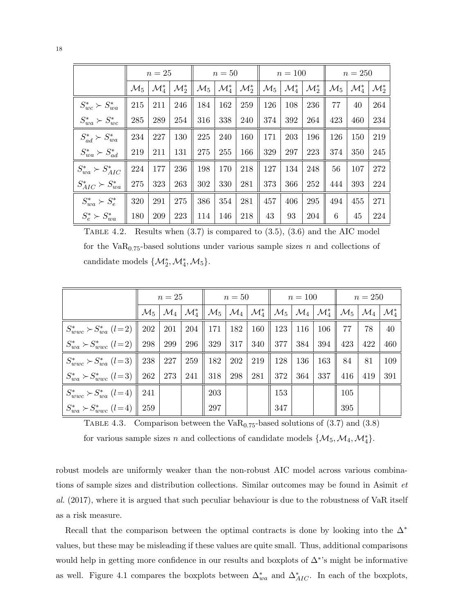|                            |                 | $n=25$            |                   |     | $n=50$ |                                                             |                                                                     | $n=100$ |     |                 | $n=250$                             |                   |
|----------------------------|-----------------|-------------------|-------------------|-----|--------|-------------------------------------------------------------|---------------------------------------------------------------------|---------|-----|-----------------|-------------------------------------|-------------------|
|                            | $\mathcal{M}_5$ | $\mathcal{M}_4^*$ | $\mathcal{M}^*_2$ |     |        | $\mathcal{M}_5\mid \mathcal{M}_4^*\mid \mathcal{M}_2^*\mid$ | $\parallel \mathcal{M}_5 \mid \mathcal{M}_4^* \mid \mathcal{M}_2^*$ |         |     |                 | $\mathcal{M}_5\mid \mathcal{M}_4^*$ | $\mathcal{M}_2^*$ |
| $S_{wc}^* \succ S_{wa}^*$  | 215             | 211               | 246               | 184 | 162    | 259                                                         | 126                                                                 | 108     | 236 | 77              | 40                                  | 264               |
| $S_{wa}^* \succ S_{wc}^*$  | 285             | 289               | 254               | 316 | 338    | 240                                                         | 374                                                                 | 392     | 264 | 423             | 460                                 | 234               |
| $S_{ad}^* \succ S_{wa}^*$  | 234             | 227               | 130               | 225 | 240    | 160                                                         | 171                                                                 | 203     | 196 | 126             | 150                                 | 219               |
| $S_{wa}^* \succ S_{ad}^*$  | 219             | 211               | 131               | 275 | 255    | 166                                                         | 329                                                                 | 297     | 223 | 374             | 350                                 | 245               |
| $S_{wa}^* \succ S_{AIC}^*$ | 224             | 177               | 236               | 198 | 170    | 218                                                         | 127                                                                 | 134     | 248 | 56              | 107                                 | 272               |
| $S_{AIC}^* \succ S_{wa}^*$ | 275             | 323               | 263               | 302 | 330    | 281                                                         | 373                                                                 | 366     | 252 | 444             | 393                                 | 224               |
| $S_{wa}^* \succ S_e^*$     | 320             | 291               | 275               | 386 | 354    | 281                                                         | 457                                                                 | 406     | 295 | 494             | 455                                 | 271               |
| $S_e^* \succ S_{wa}^*$     | 180             | 209               | 223               | 114 | 146    | 218                                                         | 43                                                                  | 93      | 204 | $6\phantom{.}6$ | 45                                  | 224               |

TABLE 4.2. Results when  $(3.7)$  is compared to  $(3.5)$ ,  $(3.6)$  and the AIC model for the  $VaR<sub>0.75</sub>$ -based solutions under various sample sizes n and collections of candidate models  $\{\mathcal{M}_2^*, \mathcal{M}_4^*, \mathcal{M}_5\}.$ 

|                                                                                   | $n=25$ |            |           | $n=50$ |             |                                   | $n=100$    |                                                                                                                                                                                                                                       |           | $n=250$ |     |
|-----------------------------------------------------------------------------------|--------|------------|-----------|--------|-------------|-----------------------------------|------------|---------------------------------------------------------------------------------------------------------------------------------------------------------------------------------------------------------------------------------------|-----------|---------|-----|
|                                                                                   |        |            |           |        |             |                                   |            | $\mathcal{M}_5$   $\mathcal{M}_4$   $\mathcal{M}_4^*$    $\mathcal{M}_5$   $\mathcal{M}_4$    $\mathcal{M}_4^*$    $\mathcal{M}_5$    $\mathcal{M}_4$    $\mathcal{M}_5$    $\mathcal{M}_4$    $\mathcal{M}_4^*$    $\mathcal{M}_4^*$ |           |         |     |
| $S_{wwc}^* \succ S_{wa}^*$ ( $l=2$ )    202   201   204    171   182   160    123 |        |            |           |        |             |                                   |            | $116$   106   77                                                                                                                                                                                                                      |           | - 78    | 40  |
| $S_{wa}^* \succ S_{wwc}^*$ ( <i>l</i> = 2)    298   299                           |        |            |           |        |             | 296   329   317   340   377   384 |            |                                                                                                                                                                                                                                       | 394   423 | 422     | 460 |
| $S_{wwc}^* \succ S_{wa}^*$ ( <i>l</i> = 3)    238   227                           |        |            | 259   182 |        | $202$   219 | 128                               | <b>136</b> | 163                                                                                                                                                                                                                                   | 84        | 81      | 109 |
| $S_{wa}^* \succ S_{wwc}^*$ ( <i>l</i> = 3)    262   273                           |        | 241    318 |           | 298    | 281         | 372                               | 364        |                                                                                                                                                                                                                                       | 337   416 | 419     | 391 |
| $S_{wwc}^* \succ S_{wa}^*$ ( <i>l</i> = 4)   241                                  |        |            | 203       |        |             | 153                               |            |                                                                                                                                                                                                                                       | 105       |         |     |
| $S_{wa}^* \succ S_{wwc}^*$ ( <i>l</i> = 4)    259                                 |        |            | 297       |        |             | 347                               |            |                                                                                                                                                                                                                                       | 395       |         |     |

TABLE 4.3. Comparison between the  $VaR<sub>0.75</sub>$ -based solutions of  $(3.7)$  and  $(3.8)$ 

for various sample sizes n and collections of candidate models  $\{M_5, M_4, M_4^*\}.$ 

robust models are uniformly weaker than the non-robust AIC model across various combinations of sample sizes and distribution collections. Similar outcomes may be found in Asimit et al. (2017), where it is argued that such peculiar behaviour is due to the robustness of VaR itself as a risk measure.

Recall that the comparison between the optimal contracts is done by looking into the  $\Delta^*$ values, but these may be misleading if these values are quite small. Thus, additional comparisons would help in getting more confidence in our results and boxplots of ∆<sup>∗</sup> 's might be informative as well. Figure 4.1 compares the boxplots between  $\Delta_{wa}^*$  and  $\Delta_{AIC}^*$ . In each of the boxplots,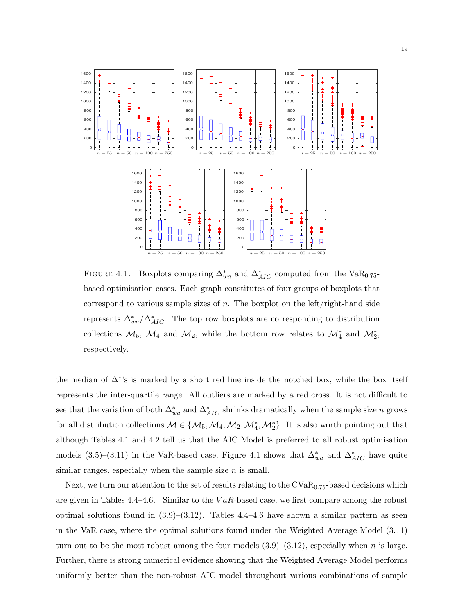

FIGURE 4.1. Boxplots comparing  $\Delta_{wa}^*$  and  $\Delta_{AIC}^*$  computed from the VaR<sub>0.75</sub>based optimisation cases. Each graph constitutes of four groups of boxplots that correspond to various sample sizes of n. The boxplot on the left/right-hand side represents  $\Delta_{wa}^*/\Delta_{AIC}^*$ . The top row boxplots are corresponding to distribution collections  $\mathcal{M}_5$ ,  $\mathcal{M}_4$  and  $\mathcal{M}_2$ , while the bottom row relates to  $\mathcal{M}_4^*$  and  $\mathcal{M}_2^*$ , respectively.

the median of ∆<sup>∗</sup> 's is marked by a short red line inside the notched box, while the box itself represents the inter-quartile range. All outliers are marked by a red cross. It is not difficult to see that the variation of both  $\Delta_{wa}^*$  and  $\Delta_{AIC}^*$  shrinks dramatically when the sample size n grows for all distribution collections  $M \in \{M_5, M_4, M_2, M_4^*, M_2^*\}$ . It is also worth pointing out that although Tables 4.1 and 4.2 tell us that the AIC Model is preferred to all robust optimisation models (3.5)–(3.11) in the VaR-based case, Figure 4.1 shows that  $\Delta_{wa}^*$  and  $\Delta_{AIC}^*$  have quite similar ranges, especially when the sample size  $n$  is small.

Next, we turn our attention to the set of results relating to the  $CVaR<sub>0.75</sub>$ -based decisions which are given in Tables  $4.4-4.6$ . Similar to the VaR-based case, we first compare among the robust optimal solutions found in  $(3.9)$ – $(3.12)$ . Tables 4.4–4.6 have shown a similar pattern as seen in the VaR case, where the optimal solutions found under the Weighted Average Model (3.11) turn out to be the most robust among the four models  $(3.9)$ – $(3.12)$ , especially when n is large. Further, there is strong numerical evidence showing that the Weighted Average Model performs uniformly better than the non-robust AIC model throughout various combinations of sample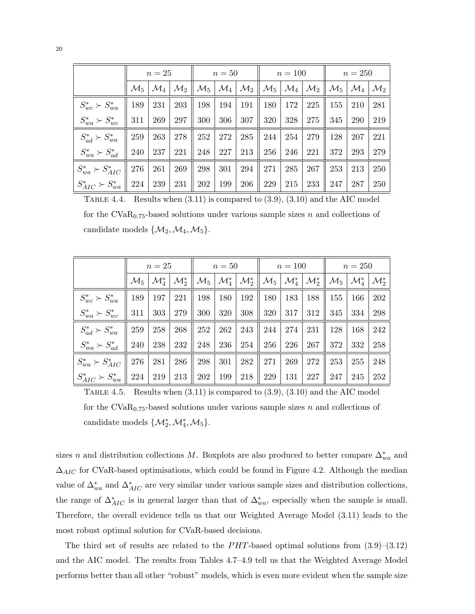|                                          |                             | $n=25$ |                     |                                                                                                                                                                                                                          | $n=50$  |                        |                  | $n=100$             |     |                                   | $n=250$ |     |
|------------------------------------------|-----------------------------|--------|---------------------|--------------------------------------------------------------------------------------------------------------------------------------------------------------------------------------------------------------------------|---------|------------------------|------------------|---------------------|-----|-----------------------------------|---------|-----|
|                                          |                             |        |                     | $\mathcal{M}_5$   $\mathcal{M}_4$   $\mathcal{M}_2$    $\mathcal{M}_5$   $\mathcal{M}_4$   $\mathcal{M}_2$    $\mathcal{M}_5$   $\mathcal{M}_4$   $\mathcal{M}_2$    $\mathcal{M}_5$   $\mathcal{M}_4$   $\mathcal{M}_2$ |         |                        |                  |                     |     |                                   |         |     |
| $S_{wc}^* \succ S_{wa}^*$                | $\parallel$ 189             | 231    | 203                 | 198                                                                                                                                                                                                                      |         | 194   191    180   172 |                  |                     |     | $225 \parallel 155 \mid 210$      |         | 281 |
| $S_{wa}^* \succ S_{wc}^*$                | $\parallel$ 311 $\parallel$ | 269    |                     | 297    300                                                                                                                                                                                                               | 306     | $307$                  |                  | $320 \mid 328 \mid$ | 275 | 345                               | 290     | 219 |
| $S_{ad}^* \succ S_{wa}^*$                | $\parallel$ 259             | 263    |                     | 278    252                                                                                                                                                                                                               | 272 $ $ | 285 $\parallel$        |                  | $244$   $254$       |     | $279 \parallel 128 \mid 207 \mid$ |         | 221 |
| $S_{wa}^* \succ S_{ad}^*$                | 240                         |        | $237 \mid 221 \mid$ | 248                                                                                                                                                                                                                      |         | $227 \mid 213$         |                  | 256   246           | 221 | $\vert$ 372 $\vert$               | 293     | 279 |
| $S_{wa}^* \succ S_{AIC}^*$               | $\parallel$ 276 $\parallel$ | 261    | 269                 | 298                                                                                                                                                                                                                      | 301     |                        | 294    271   285 |                     |     | 267    253                        | 213     | 250 |
| $S_{AIC}^* \succ S_{wa}^* \parallel 224$ |                             | 239    | 231                 | 202                                                                                                                                                                                                                      | 199     | 206                    | 229              | 215                 | 233 | $\mid$ 247 $\mid$                 | 287     | 250 |

TABLE 4.4. Results when  $(3.11)$  is compared to  $(3.9)$ ,  $(3.10)$  and the AIC model for the  $\text{CVaR}_{0.75}$ -based solutions under various sample sizes n and collections of candidate models  $\{M_2, M_4, M_5\}.$ 

|                                                                                                  |                 | $n=25$         |                                                                                                                                                                                                                                                  | $n = 50$ |             |                                                 |     |             | $n = 100$ $n = 250$    |                                   |     |     |
|--------------------------------------------------------------------------------------------------|-----------------|----------------|--------------------------------------------------------------------------------------------------------------------------------------------------------------------------------------------------------------------------------------------------|----------|-------------|-------------------------------------------------|-----|-------------|------------------------|-----------------------------------|-----|-----|
|                                                                                                  |                 |                | $\mathcal{M}_5\mid \mathcal{M}_4^*\mid \mathcal{M}_2^*\mid\mid \mathcal{M}_5\mid \mathcal{M}_4^*\mid \mathcal{M}_2^*\mid\mid \mathcal{M}_5\mid \mathcal{M}_4^*\mid\mathcal{M}_2^*\mid\mid \mathcal{M}_5\mid \mathcal{M}_4^*\mid \mathcal{M}_2^*$ |          |             |                                                 |     |             |                        |                                   |     |     |
| $S_{wc}^* \succ S_{wa}^*$                                                                        | $\parallel$ 189 | 197            | 221                                                                                                                                                                                                                                              | $198$    |             | 180   192                                       | 180 | 183         |                        | $188$   155   166                 |     | 202 |
| $S_{wa}^* \succ S_{wc}^*$                                                                        | $\parallel$ 311 | $303 \mid 279$ |                                                                                                                                                                                                                                                  |          | $300$   320 | 308                                             | 320 |             | 317   312    345   334 |                                   |     | 298 |
| $S_{ad}^* \succ S_{wa}^*$                                                                        | 259             | 258            | 268                                                                                                                                                                                                                                              |          |             | 252   262   243    244   274   231    128   168 |     |             |                        |                                   |     | 242 |
| $S_{wa}^* \succ S_{ad}^*$                                                                        | 240             | 238            | 232                                                                                                                                                                                                                                              |          | 248   236   | 254                                             |     | $256$   226 |                        | $267 \parallel 372 \mid 332$      |     | 258 |
| $S_{wa}^* \succ S_{AIC}^*$                                                                       | $\parallel$ 276 | 281            | 286                                                                                                                                                                                                                                              |          |             | 298   301   282    271                          |     | 269         |                        | 272   253                         | 255 | 248 |
| $S_{AIC}^* \succ S_{wa}^* \parallel 224 \parallel 219 \parallel 213 \parallel 202 \parallel 199$ |                 |                |                                                                                                                                                                                                                                                  |          |             | 218                                             | 229 | 131         |                        | $227 \parallel 247 \mid 245 \mid$ |     | 252 |

TABLE 4.5. Results when  $(3.11)$  is compared to  $(3.9)$ ,  $(3.10)$  and the AIC model for the CVaR<sub>0.75</sub>-based solutions under various sample sizes n and collections of candidate models  $\{M_2^*, M_4^*, M_5\}.$ 

sizes n and distribution collections M. Boxplots are also produced to better compare  $\Delta_{wa}^*$  and  $\Delta_{AIC}$  for CVaR-based optimisations, which could be found in Figure 4.2. Although the median value of  $\Delta_{wa}^*$  and  $\Delta_{AIC}^*$  are very similar under various sample sizes and distribution collections, the range of  $\Delta_{AIC}^*$  is in general larger than that of  $\Delta_{wa}^*$ , especially when the sample is small. Therefore, the overall evidence tells us that our Weighted Average Model (3.11) leads to the most robust optimal solution for CVaR-based decisions.

The third set of results are related to the *PHT*-based optimal solutions from  $(3.9)$ – $(3.12)$ and the AIC model. The results from Tables 4.7–4.9 tell us that the Weighted Average Model performs better than all other "robust" models, which is even more evident when the sample size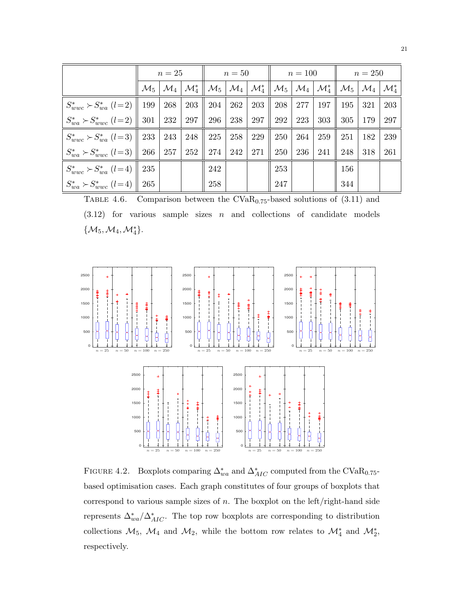|                                                                                                            | $n=25$ |     | $n=50$ |                                                                                                                                                                                                                                       |     | $n=100$             |                              |                                             | $n=250$ |     |
|------------------------------------------------------------------------------------------------------------|--------|-----|--------|---------------------------------------------------------------------------------------------------------------------------------------------------------------------------------------------------------------------------------------|-----|---------------------|------------------------------|---------------------------------------------|---------|-----|
|                                                                                                            |        |     |        | $\mathcal{M}_5$   $\mathcal{M}_4$   $\mathcal{M}_4^*$    $\mathcal{M}_5$   $\mathcal{M}_4$    $\mathcal{M}_4^*$    $\mathcal{M}_5$    $\mathcal{M}_4$    $\mathcal{M}_5$    $\mathcal{M}_4$    $\mathcal{M}_4^*$    $\mathcal{M}_4^*$ |     |                     |                              |                                             |         |     |
| $S_{wwc}^* \succ S_{wa}^*$ ( $l=2$ )    199   268   203    204   262   203                                 |        |     |        |                                                                                                                                                                                                                                       |     |                     | 208   277   197    195   321 |                                             |         | 203 |
| $S_{wa}^* \succ S_{wwc}^*$ ( $l=2$ )    301   232   297    296   238   297    292   223                    |        |     |        |                                                                                                                                                                                                                                       |     |                     |                              | $303 \parallel 305 \parallel 179 \parallel$ |         | 297 |
| $S_{wmc}^* \succ S_{wa}^*$ ( $l=3$ )    233   243   248    225   258   229                                 |        |     |        |                                                                                                                                                                                                                                       |     | $250 \mid 264 \mid$ |                              | $259 \parallel 251 \parallel 182$           |         | 239 |
| $S_{wa}^* \succ S_{wwc}^*$ ( $l=3$ )    266   257   252    274   242   271    250   236   241    248   318 |        |     |        |                                                                                                                                                                                                                                       |     |                     |                              |                                             |         | 261 |
| $S_{wwc}^* \succ S_{wa}^*$ ( <i>l</i> = 4)    235                                                          |        | 242 |        |                                                                                                                                                                                                                                       | 253 |                     |                              | 156                                         |         |     |
| $S_{wa}^* \succ S_{wwc}^*$ ( <i>l</i> = 4)    265                                                          |        | 258 |        |                                                                                                                                                                                                                                       | 247 |                     |                              | 344                                         |         |     |

TABLE 4.6. Comparison between the  $CVaR<sub>0.75</sub>$ -based solutions of (3.11) and  $(3.12)$  for various sample sizes *n* and collections of candidate models  $\{\mathcal{M}_5, \mathcal{M}_4, \mathcal{M}_4^*\}.$ 



FIGURE 4.2. Boxplots comparing  $\Delta_{wa}^*$  and  $\Delta_{AIC}^*$  computed from the CVaR<sub>0.75</sub>based optimisation cases. Each graph constitutes of four groups of boxplots that correspond to various sample sizes of  $n$ . The boxplot on the left/right-hand side represents  $\Delta_{wa}^*/\Delta_{AIC}^*$ . The top row boxplots are corresponding to distribution collections  $\mathcal{M}_5$ ,  $\mathcal{M}_4$  and  $\mathcal{M}_2$ , while the bottom row relates to  $\mathcal{M}_4^*$  and  $\mathcal{M}_2^*$ , respectively.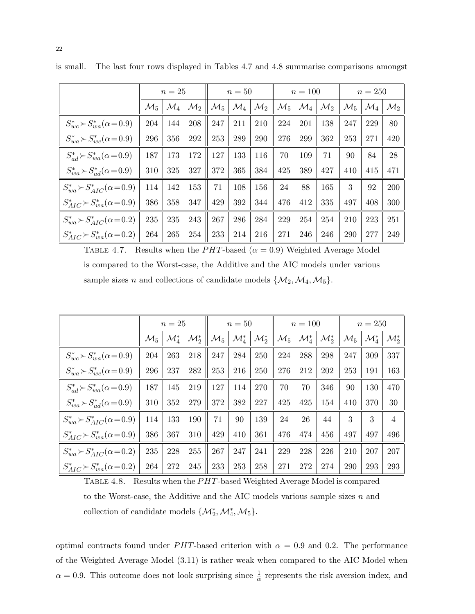|                                                 |                 | $n=25$          |                 |                 | $n=50$          |                 |                 | $n=100$                           |     |                                                   | $n=250$           |                 |
|-------------------------------------------------|-----------------|-----------------|-----------------|-----------------|-----------------|-----------------|-----------------|-----------------------------------|-----|---------------------------------------------------|-------------------|-----------------|
|                                                 | $\mathcal{M}_5$ | $\mathcal{M}_4$ | $\mathcal{M}_2$ | $\mathcal{M}_5$ | $\mathcal{M}_4$ | $\mathcal{M}_2$ | $\mathcal{M}_5$ | $\vert\, \mathcal{M}_{4}\, \vert$ |     | $\mathcal{M}_2 \parallel \mathcal{M}_5 \parallel$ | $ \mathcal{M}_4 $ | $\mathcal{M}_2$ |
| $S_{wc}^* \succ S_{wa}^* (\alpha = 0.9)$        | 204             | 144             | 208             | 247             | 211             | 210             | 224             | 201                               | 138 | 247                                               | 229               | 80              |
| $S_{wa}^* \succ S_{wc}^* (\alpha = 0.9)$        | 296             | 356             | 292             | 253             | 289             | 290             | 276             | 299                               | 362 | 253                                               | 271               | 420             |
| $S_{ad}^* \succ S_{wa}^* (\alpha = 0.9)$        | 187             | 173             | 172             | 127             | 133             | 116             | 70              | 109                               | 71  | 90                                                | 84                | 28              |
| $S_{wa}^* \succ S_{ad}^* (\alpha = 0.9)$        | 310             | 325             | 327             | 372             | 365             | 384             | 425             | 389                               | 427 | 410                                               | 415               | 471             |
| $S_{wa}^* \succ S_{AIC}^* (\alpha = 0.9)$       | 114             | 142             | 153             | 71              | 108             | 156             | 24              | 88                                | 165 | 3                                                 | 92                | 200             |
| $S_{AIC}^* \rightarrow S_{wa}^* (\alpha = 0.9)$ | $\parallel$ 386 | 358             | 347             | 429             | 392             | 344             | 476             | 412                               | 335 | 497                                               | 408               | 300             |
| $S_{wa}^* \succ S_{AIC}^* (\alpha = 0.2)$       | 235             | 235             | 243             | 267             | 286             | 284             | 229             | 254                               | 254 | 210                                               | 223               | 251             |
| $S_{AIC}^* \rightarrow S_{wa}^* (\alpha = 0.2)$ | 264             | 265             | 254             | 233             | 214             | 216             | 271             | 246                               | 246 | 290                                               | 277               | 249             |

is small. The last four rows displayed in Tables 4.7 and 4.8 summarise comparisons amongst

TABLE 4.7. Results when the PHT-based ( $\alpha = 0.9$ ) Weighted Average Model is compared to the Worst-case, the Additive and the AIC models under various sample sizes n and collections of candidate models  $\{M_2, M_4, M_5\}$ .

|                                                 |                 | $n=25$              |                   |                 | $n=50$            |                   |                 | $n=100$           |                   |                 | $n = 250$         |                   |
|-------------------------------------------------|-----------------|---------------------|-------------------|-----------------|-------------------|-------------------|-----------------|-------------------|-------------------|-----------------|-------------------|-------------------|
|                                                 | $\mathcal{M}_5$ | $\mathcal{M}_{4}^*$ | $\mathcal{M}_2^*$ | $\mathcal{M}_5$ | $\mathcal{M}_4^*$ | $\mathcal{M}_2^*$ | $\mathcal{M}_5$ | $\mathcal{M}_A^*$ | $\mathcal{M}_2^*$ | $\mathcal{M}_5$ | $\mathcal{M}_A^*$ | $\mathcal{M}_2^*$ |
| $S_{wc}^* \succ S_{wa}^* (\alpha = 0.9)$        | 204             | 263                 | 218               | 247             | 284               | 250               | 224             | 288               | 298               | 247             | 309               | 337               |
| $S_{wa}^* \succ S_{wc}^* (\alpha = 0.9)$        | 296             | 237                 | 282               | 253             | 216               | 250               | 276             | 212               | 202               | 253             | 191               | 163               |
| $S_{ad}^* \succ S_{wa}^* (\alpha = 0.9)$        | 187             | 145                 | 219               | 127             | 114               | 270               | 70              | 70                | 346               | 90              | 130               | 470               |
| $S_{wa}^* \succ S_{ad}^* (\alpha = 0.9)$        | 310             | 352                 | 279               | 372             | 382               | 227               | 425             | 425               | 154               | 410             | 370               | 30                |
| $S_{wa}^* \succ S_{AIC}^* (\alpha = 0.9)$       | 114             | 133                 | 190               | 71              | 90                | 139               | 24              | 26                | 44                | 3               | 3                 | $\overline{4}$    |
| $S_{AIC}^* \rightarrow S_{wa}^* (\alpha = 0.9)$ | 386             | 367                 | 310               | 429             | 410               | 361               | 476             | 474               | 456               | 497             | 497               | 496               |
| $S_{wa}^* \succ S_{AIC}^* (\alpha=0.2)$         | 235             | 228                 | 255               | 267             | 247               | 241               | 229             | 228               | 226               | 210             | 207               | 207               |
| $S_{AIC}^* \rightarrow S_{wa}^* (\alpha = 0.2)$ | 264             | 272                 | 245               | 233             | 253               | 258               | 271             | 272               | 274               | 290             | 293               | 293               |

TABLE 4.8. Results when the PHT-based Weighted Average Model is compared to the Worst-case, the Additive and the AIC models various sample sizes  $n$  and collection of candidate models  $\{\mathcal{M}_2^*, \mathcal{M}_4^*, \mathcal{M}_5\}.$ 

optimal contracts found under *PHT*-based criterion with  $\alpha = 0.9$  and 0.2. The performance of the Weighted Average Model (3.11) is rather weak when compared to the AIC Model when  $\alpha = 0.9$ . This outcome does not look surprising since  $\frac{1}{\alpha}$  represents the risk aversion index, and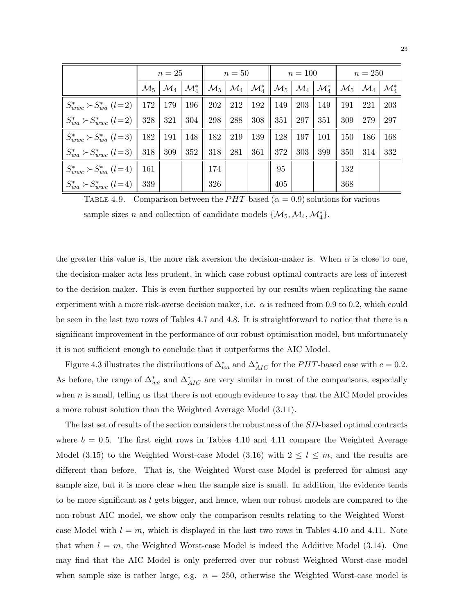|                                                                                               | $n=25$ |                                                                                                                                                                                                                                       |             | $n=50$ |           |     | $n=100$   |                                           |                                 | $n=250$        |     |
|-----------------------------------------------------------------------------------------------|--------|---------------------------------------------------------------------------------------------------------------------------------------------------------------------------------------------------------------------------------------|-------------|--------|-----------|-----|-----------|-------------------------------------------|---------------------------------|----------------|-----|
|                                                                                               |        | $\mathcal{M}_5$   $\mathcal{M}_4$   $\mathcal{M}_4^*$    $\mathcal{M}_5$   $\mathcal{M}_4$    $\mathcal{M}_4^*$    $\mathcal{M}_5$    $\mathcal{M}_4$    $\mathcal{M}_5$    $\mathcal{M}_4$    $\mathcal{M}_4^*$    $\mathcal{M}_4^*$ |             |        |           |     |           |                                           |                                 |                |     |
| $S_{wmc}^* \succ S_{wa}^*$ ( $l=2$ )    172   179   196    202   212   192    149   203   149 |        |                                                                                                                                                                                                                                       |             |        |           |     |           |                                           | $\parallel$ 191 $\parallel$ 221 |                | 203 |
| $S_{wa}^* \succ S_{wwc}^*$ ( $l=2$ )    328   321   304    298                                |        |                                                                                                                                                                                                                                       |             | 288    | 308       |     |           | $351 \mid 297 \mid 351 \mid 309 \mid 279$ |                                 |                | 297 |
| $S_{wwc}^* \succ S_{wa}^*$ ( <i>l</i> = 3)    182   191   148    182                          |        |                                                                                                                                                                                                                                       |             |        | 219   139 |     |           | $128$   197   101    150   186            |                                 |                | 168 |
| $S_{wa}^* \succ S_{wwc}^*$ ( <i>l</i> = 3)    318   309                                       |        |                                                                                                                                                                                                                                       | $352$   318 | 281    | 361       |     | 372   303 | 399                                       |                                 | $350 \mid 314$ | 332 |
| $S_{wwc}^* \succ S_{wa}^*$ ( <i>l</i> = 4)   161                                              |        |                                                                                                                                                                                                                                       | 174         |        |           | 95  |           |                                           | 132                             |                |     |
| $S_{wa}^* \succ S_{wwc}^*$ ( <i>l</i> = 4)    339                                             |        |                                                                                                                                                                                                                                       | 326         |        |           | 405 |           |                                           | 368                             |                |     |

TABLE 4.9. Comparison between the PHT-based ( $\alpha = 0.9$ ) solutions for various sample sizes n and collection of candidate models  $\{M_5, M_4, M_4^*\}.$ 

the greater this value is, the more risk aversion the decision-maker is. When  $\alpha$  is close to one, the decision-maker acts less prudent, in which case robust optimal contracts are less of interest to the decision-maker. This is even further supported by our results when replicating the same experiment with a more risk-averse decision maker, i.e.  $\alpha$  is reduced from 0.9 to 0.2, which could be seen in the last two rows of Tables 4.7 and 4.8. It is straightforward to notice that there is a significant improvement in the performance of our robust optimisation model, but unfortunately it is not sufficient enough to conclude that it outperforms the AIC Model.

Figure 4.3 illustrates the distributions of  $\Delta_{wa}^{*}$  and  $\Delta_{AIC}^{*}$  for the PHT-based case with  $c = 0.2$ . As before, the range of  $\Delta_{wa}^*$  and  $\Delta_{AIC}^*$  are very similar in most of the comparisons, especially when  $n$  is small, telling us that there is not enough evidence to say that the AIC Model provides a more robust solution than the Weighted Average Model (3.11).

The last set of results of the section considers the robustness of the SD-based optimal contracts where  $b = 0.5$ . The first eight rows in Tables 4.10 and 4.11 compare the Weighted Average Model (3.15) to the Weighted Worst-case Model (3.16) with  $2 \leq l \leq m$ , and the results are different than before. That is, the Weighted Worst-case Model is preferred for almost any sample size, but it is more clear when the sample size is small. In addition, the evidence tends to be more significant as l gets bigger, and hence, when our robust models are compared to the non-robust AIC model, we show only the comparison results relating to the Weighted Worstcase Model with  $l = m$ , which is displayed in the last two rows in Tables 4.10 and 4.11. Note that when  $l = m$ , the Weighted Worst-case Model is indeed the Additive Model (3.14). One may find that the AIC Model is only preferred over our robust Weighted Worst-case model when sample size is rather large, e.g.  $n = 250$ , otherwise the Weighted Worst-case model is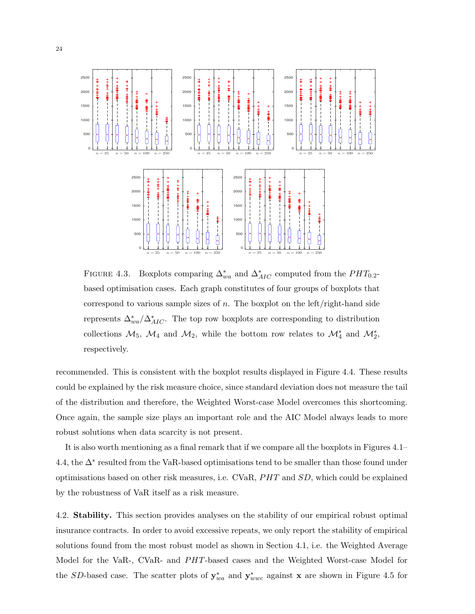

FIGURE 4.3. Boxplots comparing  $\Delta_{wa}^*$  and  $\Delta_{AIC}^*$  computed from the  $PHT_{0.2}$ based optimisation cases. Each graph constitutes of four groups of boxplots that correspond to various sample sizes of n. The boxplot on the left/right-hand side represents  $\Delta_{wa}^*/\Delta_{AIC}^*$ . The top row boxplots are corresponding to distribution collections  $\mathcal{M}_5$ ,  $\mathcal{M}_4$  and  $\mathcal{M}_2$ , while the bottom row relates to  $\mathcal{M}_4^*$  and  $\mathcal{M}_2^*$ , respectively.

recommended. This is consistent with the boxplot results displayed in Figure 4.4. These results could be explained by the risk measure choice, since standard deviation does not measure the tail of the distribution and therefore, the Weighted Worst-case Model overcomes this shortcoming. Once again, the sample size plays an important role and the AIC Model always leads to more robust solutions when data scarcity is not present.

It is also worth mentioning as a final remark that if we compare all the boxplots in Figures 4.1– 4.4, the ∆<sup>∗</sup> resulted from the VaR-based optimisations tend to be smaller than those found under optimisations based on other risk measures, i.e. CVaR,  $PHT$  and  $SD$ , which could be explained by the robustness of VaR itself as a risk measure.

4.2. Stability. This section provides analyses on the stability of our empirical robust optimal insurance contracts. In order to avoid excessive repeats, we only report the stability of empirical solutions found from the most robust model as shown in Section 4.1, i.e. the Weighted Average Model for the VaR-, CVaR- and *PHT*-based cases and the Weighted Worst-case Model for the SD-based case. The scatter plots of  $y_{wa}^*$  and  $y_{wwc}^*$  against x are shown in Figure 4.5 for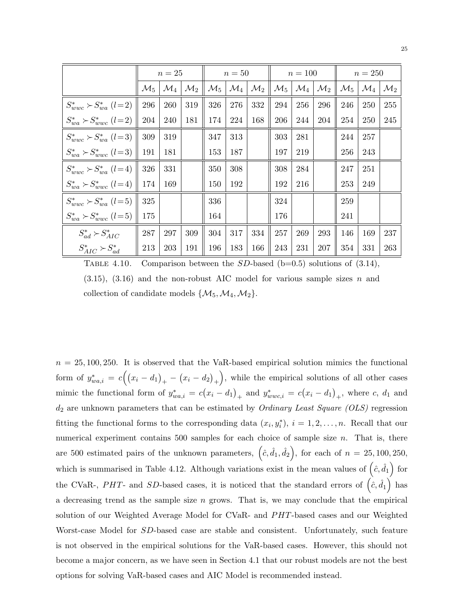|                                            |                 | $n=25$          |                 |                 | $n=50$          |                 |                 | $n=100$           |                 |                 | $n = 250$                 |                 |
|--------------------------------------------|-----------------|-----------------|-----------------|-----------------|-----------------|-----------------|-----------------|-------------------|-----------------|-----------------|---------------------------|-----------------|
|                                            | $\mathcal{M}_5$ | $\mathcal{M}_4$ | $\mathcal{M}_2$ | $\mathcal{M}_5$ | $\mathcal{M}_4$ | $\mathcal{M}_2$ | $\mathcal{M}_5$ | $ \mathcal{M}_4 $ | $\mathcal{M}_2$ | $\mathcal{M}_5$ | $\mid \mathcal{M}_4 \mid$ | $\mathcal{M}_2$ |
| $S_{wwc}^* \succ S_{wa}^*$ ( <i>l</i> =2)  | 296             | 260             | 319             | 326             | 276             | 332             | 294             | 256               | 296             | 246             | 250                       | 255             |
| $S_{wa}^* \succ S_{wwc}^*$ ( <i>l</i> = 2) | 204             | 240             | 181             | 174             | 224             | 168             | 206             | 244               | 204             | 254             | 250                       | 245             |
| $S_{wwc}^* \succ S_{wa}^*$ (l=3)           | 309             | 319             |                 | 347             | 313             |                 | 303             | 281               |                 | 244             | 257                       |                 |
| $S_{wa}^* \succ S_{wwc}^*$ ( <i>l</i> =3)  | 191             | 181             |                 | 153             | 187             |                 | 197             | 219               |                 | 256             | 243                       |                 |
| $S_{wwc}^* \succ S_{wa}^*$ ( <i>l</i> =4)  | 326             | 331             |                 | 350             | 308             |                 | 308             | 284               |                 | 247             | 251                       |                 |
| $S_{wa}^* \succ S_{wwc}^*$ ( <i>l</i> = 4) | 174             | 169             |                 | 150             | 192             |                 | 192             | 216               |                 | 253             | 249                       |                 |
| $S_{wwc}^* \succ S_{wa}^*$ ( <i>l</i> =5)  | 325             |                 |                 | 336             |                 |                 | 324             |                   |                 | 259             |                           |                 |
| $S_{wa}^* \succ S_{wwc}^*$ ( <i>l</i> =5)  | 175             |                 |                 | 164             |                 |                 | 176             |                   |                 | 241             |                           |                 |
| $S_{ad}^* \succ S_{AIC}^*$                 | 287             | 297             | 309             | 304             | 317             | 334             | 257             | 269               | 293             | 146             | 169                       | 237             |
| $S_{AIC}^* \succ S_{ad}^*$                 | 213             | 203             | 191             | 196             | 183             | 166             | 243             | 231               | 207             | 354             | 331                       | 263             |

TABLE 4.10. Comparison between the  $SD$ -based (b=0.5) solutions of (3.14),  $(3.15)$ ,  $(3.16)$  and the non-robust AIC model for various sample sizes n and collection of candidate models  $\{M_5, M_4, M_2\}.$ 

 $n = 25,100,250$ . It is observed that the VaR-based empirical solution mimics the functional form of  $y_{wa,i}^* = c((x_i - d_1)_+ - (x_i - d_2)_+)$ , while the empirical solutions of all other cases mimic the functional form of  $y_{wa,i}^* = c(x_i - d_1)_+$  and  $y_{wwc,i}^* = c(x_i - d_1)_+$ , where c,  $d_1$  and  $d_2$  are unknown parameters that can be estimated by *Ordinary Least Square (OLS)* regression fitting the functional forms to the corresponding data  $(x_i, y_i^*), i = 1, 2, ..., n$ . Recall that our numerical experiment contains  $500$  samples for each choice of sample size  $n$ . That is, there are 500 estimated pairs of the unknown parameters,  $(\hat{c}, \hat{d}_1, \hat{d}_2)$ , for each of  $n = 25, 100, 250$ , which is summarised in Table 4.12. Although variations exist in the mean values of  $(\hat{c}, \hat{d}_1)$  for the CVaR-, PHT- and SD-based cases, it is noticed that the standard errors of  $(\hat{c}, \hat{d}_1)$  has a decreasing trend as the sample size  $n$  grows. That is, we may conclude that the empirical solution of our Weighted Average Model for CVaR- and  $PHT$ -based cases and our Weighted Worst-case Model for SD-based case are stable and consistent. Unfortunately, such feature is not observed in the empirical solutions for the VaR-based cases. However, this should not become a major concern, as we have seen in Section 4.1 that our robust models are not the best options for solving VaR-based cases and AIC Model is recommended instead.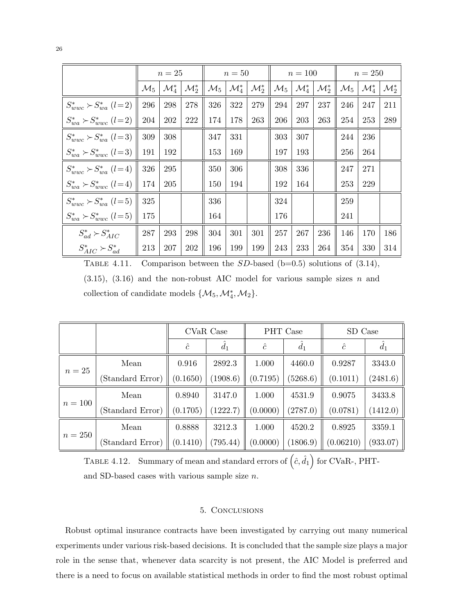|                                            |                 | $n=25$            |                   |                 | $n=50$              |                   |                 | $n=100$           |                   |                 | $n=250$           |                   |
|--------------------------------------------|-----------------|-------------------|-------------------|-----------------|---------------------|-------------------|-----------------|-------------------|-------------------|-----------------|-------------------|-------------------|
|                                            | $\mathcal{M}_5$ | $\mathcal{M}_4^*$ | $\mathcal{M}_2^*$ | $\mathcal{M}_5$ | $ \mathcal{M}_A^* $ | $\mathcal{M}_2^*$ | $\mathcal{M}_5$ | $\mathcal{M}_4^*$ | $\mathcal{M}_2^*$ | $\mathcal{M}_5$ | $\mathcal{M}^*_A$ | $\mathcal{M}_2^*$ |
| $S_{wwc}^* \succ S_{wa}^*$ ( <i>l</i> =2)  | 296             | 298               | 278               | 326             | 322                 | 279               | 294             | 297               | 237               | 246             | 247               | 211               |
| $S_{wa}^* \succ S_{wwc}^*$ ( <i>l</i> =2)  | 204             | 202               | 222               | 174             | 178                 | 263               | 206             | 203               | 263               | 254             | 253               | 289               |
| $S_{wwc}^* \succ S_{wa}^*$ ( <i>l</i> =3)  | 309             | 308               |                   | 347             | 331                 |                   | 303             | 307               |                   | 244             | 236               |                   |
| $S_{wa}^* \succ S_{wwc}^*$ ( <i>l</i> =3)  | 191             | 192               |                   | 153             | 169                 |                   | 197             | 193               |                   | 256             | 264               |                   |
| $S_{wwc}^* \succ S_{wa}^*$ ( <i>l</i> =4)  | 326             | 295               |                   | 350             | 306                 |                   | 308             | 336               |                   | 247             | 271               |                   |
| $S_{wa}^* \succ S_{wwc}^*$ ( <i>l</i> =4)  | 174             | 205               |                   | 150             | 194                 |                   | 192             | 164               |                   | 253             | 229               |                   |
| $S_{wwc}^* \succ S_{wa}^*$ ( <i>l</i> = 5) | 325             |                   |                   | 336             |                     |                   | 324             |                   |                   | 259             |                   |                   |
| $S_{wa}^* \succ S_{wwc}^*$ ( <i>l</i> = 5) | 175             |                   |                   | 164             |                     |                   | 176             |                   |                   | 241             |                   |                   |
| $S_{ad}^* \succ S_{AIC}^*$                 | 287             | 293               | 298               | 304             | 301                 | 301               | 257             | 267               | 236               | 146             | 170               | 186               |
| $S_{AIC}^* \succ S_{ad}^*$                 | 213             | 207               | 202               | 196             | 199                 | 199               | 243             | 233               | 264               | 354             | 330               | 314               |

TABLE 4.11. Comparison between the  $SD$ -based (b=0.5) solutions of (3.14),  $(3.15)$ ,  $(3.16)$  and the non-robust AIC model for various sample sizes n and collection of candidate models  $\{M_5, M_4^*, M_2\}.$ 

|         |                  |           | CVaR Case |           | PHT Case | SD Case   |          |
|---------|------------------|-----------|-----------|-----------|----------|-----------|----------|
|         |                  | $\hat{c}$ | $d_1$     | $\hat{c}$ | $d_1$    | $\hat{c}$ | $d_1$    |
|         | Mean             | 0.916     | 2892.3    | 1.000     | 4460.0   | 0.9287    | 3343.0   |
| $n=25$  | (Standard Error) | (0.1650)  | (1908.6)  | (0.7195)  | (5268.6) | (0.1011)  | (2481.6) |
|         | Mean             | 0.8940    | 3147.0    | 1.000     | 4531.9   | 0.9075    | 3433.8   |
| $n=100$ | (Standard Error) | (0.1705)  | (1222.7)  | (0.0000)  | (2787.0) | (0.0781)  | (1412.0) |
|         | Mean             | 0.8888    | 3212.3    | 1.000     | 4520.2   | 0.8925    | 3359.1   |
| $n=250$ | (Standard Error) | (0.1410)  | (795.44)  | (0.0000)  | (1806.9) | (0.06210) | (933.07) |

TABLE 4.12. Summary of mean and standard errors of  $(\hat{c}, \hat{d}_1)$  for CVaR-, PHTand SD-based cases with various sample size n.

# 5. Conclusions

Robust optimal insurance contracts have been investigated by carrying out many numerical experiments under various risk-based decisions. It is concluded that the sample size plays a major role in the sense that, whenever data scarcity is not present, the AIC Model is preferred and there is a need to focus on available statistical methods in order to find the most robust optimal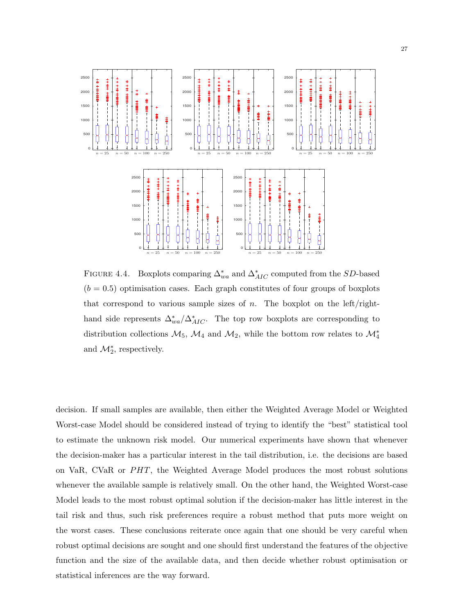

FIGURE 4.4. Boxplots comparing  $\Delta_{wa}^*$  and  $\Delta_{AIC}^*$  computed from the SD-based  $(b = 0.5)$  optimisation cases. Each graph constitutes of four groups of boxplots that correspond to various sample sizes of n. The boxplot on the left/righthand side represents  $\Delta_{wa}^*/\Delta_{AIC}^*$ . The top row boxplots are corresponding to distribution collections  $\mathcal{M}_5$ ,  $\mathcal{M}_4$  and  $\mathcal{M}_2$ , while the bottom row relates to  $\mathcal{M}_4^*$ and  $\mathcal{M}_2^*$ , respectively.

decision. If small samples are available, then either the Weighted Average Model or Weighted Worst-case Model should be considered instead of trying to identify the "best" statistical tool to estimate the unknown risk model. Our numerical experiments have shown that whenever the decision-maker has a particular interest in the tail distribution, i.e. the decisions are based on VaR, CVaR or  $PHT$ , the Weighted Average Model produces the most robust solutions whenever the available sample is relatively small. On the other hand, the Weighted Worst-case Model leads to the most robust optimal solution if the decision-maker has little interest in the tail risk and thus, such risk preferences require a robust method that puts more weight on the worst cases. These conclusions reiterate once again that one should be very careful when robust optimal decisions are sought and one should first understand the features of the objective function and the size of the available data, and then decide whether robust optimisation or statistical inferences are the way forward.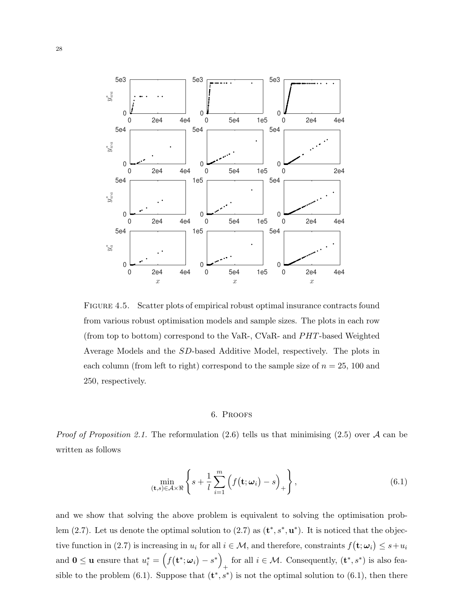

FIGURE 4.5. Scatter plots of empirical robust optimal insurance contracts found from various robust optimisation models and sample sizes. The plots in each row (from top to bottom) correspond to the VaR-, CVaR- and  $PHT$ -based Weighted Average Models and the SD-based Additive Model, respectively. The plots in each column (from left to right) correspond to the sample size of  $n = 25$ , 100 and 250, respectively.

#### 6. Proofs

*Proof of Proposition 2.1.* The reformulation  $(2.6)$  tells us that minimising  $(2.5)$  over A can be written as follows

$$
\min_{(\mathbf{t},s)\in\mathcal{A}\times\Re}\left\{s+\frac{1}{l}\sum_{i=1}^{m}\left(f(\mathbf{t};\boldsymbol{\omega}_{i})-s\right)_{+}\right\},\tag{6.1}
$$

and we show that solving the above problem is equivalent to solving the optimisation problem (2.7). Let us denote the optimal solution to (2.7) as  $(\mathbf{t}^*, s^*, \mathbf{u}^*)$ . It is noticed that the objective function in (2.7) is increasing in  $u_i$  for all  $i \in \mathcal{M}$ , and therefore, constraints  $f(\mathbf{t}; \omega_i) \leq s + u_i$ and  $\mathbf{0} \leq \mathbf{u}$  ensure that  $u_i^* = \left(f(\mathbf{t}^*; \boldsymbol{\omega}_i) - s^*\right)$ for all  $i \in \mathcal{M}$ . Consequently,  $(\mathbf{t}^*, s^*)$  is also feasible to the problem (6.1). Suppose that  $(\mathbf{t}^*, s^*)$  is not the optimal solution to (6.1), then there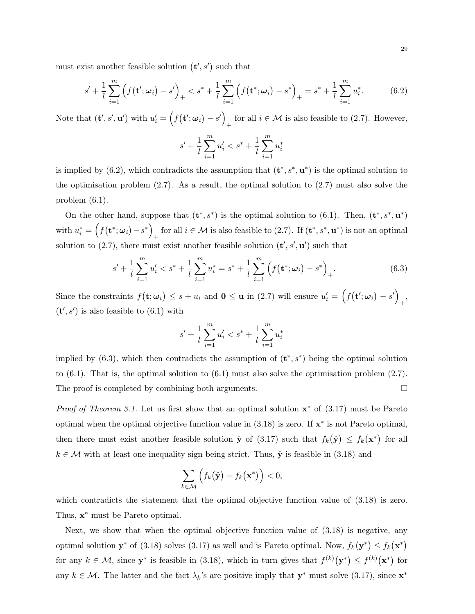must exist another feasible solution  $(\mathbf{t}', s')$  such that

$$
s' + \frac{1}{l} \sum_{i=1}^{m} \left( f(\mathbf{t}'; \boldsymbol{\omega}_i) - s' \right)_+ < s^* + \frac{1}{l} \sum_{i=1}^{m} \left( f(\mathbf{t}^*; \boldsymbol{\omega}_i) - s^* \right)_+ = s^* + \frac{1}{l} \sum_{i=1}^{m} u_i^*.
$$
 (6.2)

Note that  $(\mathbf{t}', s', \mathbf{u}')$  with  $u'_i = \left(f(\mathbf{t}'; \boldsymbol{\omega}_i) - s'\right)$ for all  $i \in \mathcal{M}$  is also feasible to (2.7). However,

$$
s' + \frac{1}{l} \sum_{i=1}^{m} u'_i < s^* + \frac{1}{l} \sum_{i=1}^{m} u_i^*
$$

is implied by  $(6.2)$ , which contradicts the assumption that  $(\mathbf{t}^*, s^*, \mathbf{u}^*)$  is the optimal solution to the optimisation problem  $(2.7)$ . As a result, the optimal solution to  $(2.7)$  must also solve the problem (6.1).

On the other hand, suppose that  $(\mathbf{t}^*, s^*)$  is the optimal solution to (6.1). Then,  $(\mathbf{t}^*, s^*, \mathbf{u}^*)$ with  $u_i^* = \left(f(\mathbf{t}^*; \boldsymbol{\omega}_i) - s^*\right)$ for all  $i \in \mathcal{M}$  is also feasible to (2.7). If  $(\mathbf{t}^*, s^*, \mathbf{u}^*)$  is not an optimal solution to (2.7), there must exist another feasible solution  $(\mathbf{t}', s', \mathbf{u}')$  such that

$$
s' + \frac{1}{l} \sum_{i=1}^{m} u'_i < s^* + \frac{1}{l} \sum_{i=1}^{m} u^*_i = s^* + \frac{1}{l} \sum_{i=1}^{m} \left( f(\mathbf{t}^*; \omega_i) - s^* \right)_+ . \tag{6.3}
$$

Since the constraints  $f(\mathbf{t}; \omega_i) \leq s + u_i$  and  $\mathbf{0} \leq \mathbf{u}$  in (2.7) will ensure  $u'_i = (f(\mathbf{t}'; \omega_i) - s')$ + ,  $(\mathbf{t}', s')$  is also feasible to  $(6.1)$  with

$$
s' + \frac{1}{l} \sum_{i=1}^{m} u'_i < s^* + \frac{1}{l} \sum_{i=1}^{m} u_i^*
$$

implied by  $(6.3)$ , which then contradicts the assumption of  $(\mathbf{t}^*, s^*)$  being the optimal solution to  $(6.1)$ . That is, the optimal solution to  $(6.1)$  must also solve the optimisation problem  $(2.7)$ . The proof is completed by combining both arguments.  $\Box$ 

*Proof of Theorem 3.1.* Let us first show that an optimal solution  $x^*$  of (3.17) must be Pareto optimal when the optimal objective function value in  $(3.18)$  is zero. If  $\mathbf{x}^*$  is not Pareto optimal, then there must exist another feasible solution  $\hat{\mathbf{y}}$  of (3.17) such that  $f_k(\hat{\mathbf{y}}) \leq f_k(\mathbf{x}^*)$  for all  $k \in \mathcal{M}$  with at least one inequality sign being strict. Thus,  $\hat{\mathbf{y}}$  is feasible in (3.18) and

$$
\sum_{k\in\mathcal{M}}\left(f_k(\hat{\mathbf{y}})-f_k(\mathbf{x}^*)\right)<0,
$$

which contradicts the statement that the optimal objective function value of  $(3.18)$  is zero. Thus,  $\mathbf{x}^*$  must be Pareto optimal.

Next, we show that when the optimal objective function value of (3.18) is negative, any optimal solution  $y^*$  of (3.18) solves (3.17) as well and is Pareto optimal. Now,  $f_k(y^*) \leq f_k(x^*)$ for any  $k \in \mathcal{M}$ , since  $y^*$  is feasible in (3.18), which in turn gives that  $f^{(k)}(y^*) \leq f^{(k)}(x^*)$  for any  $k \in \mathcal{M}$ . The latter and the fact  $\lambda_k$ 's are positive imply that  $y^*$  must solve (3.17), since  $x^*$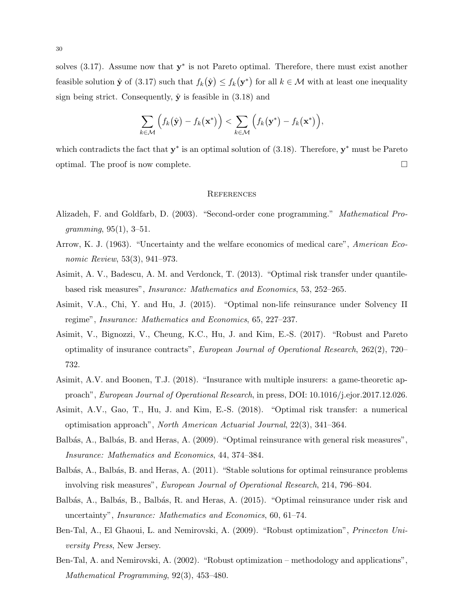solves  $(3.17)$ . Assume now that  $y^*$  is not Pareto optimal. Therefore, there must exist another feasible solution  $\hat{\mathbf{y}}$  of  $(3.17)$  such that  $f_k(\hat{\mathbf{y}}) \leq f_k(\mathbf{y}^*)$  for all  $k \in \mathcal{M}$  with at least one inequality sign being strict. Consequently,  $\hat{\mathbf{y}}$  is feasible in (3.18) and

$$
\sum_{k\in\mathcal{M}}\Big(f_k(\hat{\mathbf{y}})-f_k(\mathbf{x}^*)\Big)<\sum_{k\in\mathcal{M}}\Big(f_k(\mathbf{y}^*)-f_k(\mathbf{x}^*)\Big),
$$

which contradicts the fact that  $y^*$  is an optimal solution of (3.18). Therefore,  $y^*$  must be Pareto optimal. The proof is now complete.

#### **REFERENCES**

- Alizadeh, F. and Goldfarb, D. (2003). "Second-order cone programming." Mathematical Pro $gramming, 95(1), 3–51.$
- Arrow, K. J. (1963). "Uncertainty and the welfare economics of medical care", American Economic Review, 53(3), 941–973.
- Asimit, A. V., Badescu, A. M. and Verdonck, T. (2013). "Optimal risk transfer under quantilebased risk measures", Insurance: Mathematics and Economics, 53, 252–265.
- Asimit, V.A., Chi, Y. and Hu, J. (2015). "Optimal non-life reinsurance under Solvency II regime", Insurance: Mathematics and Economics, 65, 227–237.
- Asimit, V., Bignozzi, V., Cheung, K.C., Hu, J. and Kim, E.-S. (2017). "Robust and Pareto optimality of insurance contracts", European Journal of Operational Research, 262(2), 720– 732.
- Asimit, A.V. and Boonen, T.J. (2018). "Insurance with multiple insurers: a game-theoretic approach", European Journal of Operational Research, in press, DOI: 10.1016/j.ejor.2017.12.026.
- Asimit, A.V., Gao, T., Hu, J. and Kim, E.-S. (2018). "Optimal risk transfer: a numerical optimisation approach", North American Actuarial Journal, 22(3), 341–364.
- Balbás, A., Balbás, B. and Heras, A. (2009). "Optimal reinsurance with general risk measures", Insurance: Mathematics and Economics, 44, 374–384.
- Balbás, A., Balbás, B. and Heras, A. (2011). "Stable solutions for optimal reinsurance problems involving risk measures", European Journal of Operational Research, 214, 796–804.
- Balbás, A., Balbás, B., Balbás, R. and Heras, A. (2015). "Optimal reinsurance under risk and uncertainty", Insurance: Mathematics and Economics, 60, 61–74.
- Ben-Tal, A., El Ghaoui, L. and Nemirovski, A. (2009). "Robust optimization", Princeton University Press, New Jersey.
- Ben-Tal, A. and Nemirovski, A. (2002). "Robust optimization methodology and applications", Mathematical Programming, 92(3), 453–480.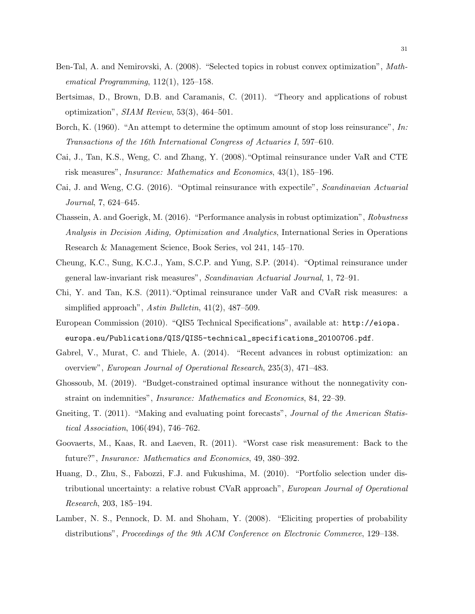- Ben-Tal, A. and Nemirovski, A. (2008). "Selected topics in robust convex optimization", Mathematical Programming,  $112(1)$ ,  $125-158$ .
- Bertsimas, D., Brown, D.B. and Caramanis, C. (2011). "Theory and applications of robust optimization", SIAM Review, 53(3), 464–501.
- Borch, K. (1960). "An attempt to determine the optimum amount of stop loss reinsurance", In: Transactions of the 16th International Congress of Actuaries I, 597–610.
- Cai, J., Tan, K.S., Weng, C. and Zhang, Y. (2008)."Optimal reinsurance under VaR and CTE risk measures", Insurance: Mathematics and Economics, 43(1), 185–196.
- Cai, J. and Weng, C.G. (2016). "Optimal reinsurance with expectile", Scandinavian Actuarial Journal, 7, 624–645.
- Chassein, A. and Goerigk, M. (2016). "Performance analysis in robust optimization", Robustness Analysis in Decision Aiding, Optimization and Analytics, International Series in Operations Research & Management Science, Book Series, vol 241, 145–170.
- Cheung, K.C., Sung, K.C.J., Yam, S.C.P. and Yung, S.P. (2014). "Optimal reinsurance under general law-invariant risk measures", Scandinavian Actuarial Journal, 1, 72–91.
- Chi, Y. and Tan, K.S. (2011)."Optimal reinsurance under VaR and CVaR risk measures: a simplified approach", Astin Bulletin, 41(2), 487–509.
- European Commission (2010). "QIS5 Technical Specifications", available at: http://eiopa. europa.eu/Publications/QIS/QIS5-technical\_specifications\_20100706.pdf.
- Gabrel, V., Murat, C. and Thiele, A. (2014). "Recent advances in robust optimization: an overview", European Journal of Operational Research, 235(3), 471–483.
- Ghossoub, M. (2019). "Budget-constrained optimal insurance without the nonnegativity constraint on indemnities", Insurance: Mathematics and Economics, 84, 22–39.
- Gneiting, T. (2011). "Making and evaluating point forecasts", *Journal of the American Statis*tical Association, 106(494), 746–762.
- Goovaerts, M., Kaas, R. and Laeven, R. (2011). "Worst case risk measurement: Back to the future?", Insurance: Mathematics and Economics, 49, 380–392.
- Huang, D., Zhu, S., Fabozzi, F.J. and Fukushima, M. (2010). "Portfolio selection under distributional uncertainty: a relative robust CVaR approach", European Journal of Operational Research, 203, 185–194.
- Lamber, N. S., Pennock, D. M. and Shoham, Y. (2008). "Eliciting properties of probability distributions", *Proceedings of the 9th ACM Conference on Electronic Commerce*, 129–138.